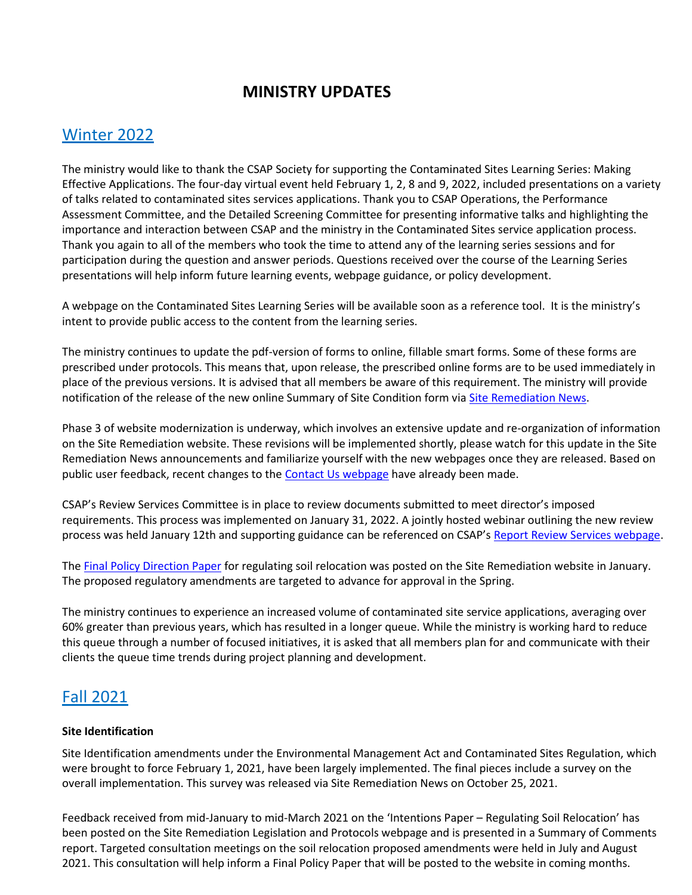# **MINISTRY UPDATES**

## Winter 2022

The ministry would like to thank the CSAP Society for supporting the Contaminated Sites Learning Series: Making Effective Applications. The four-day virtual event held February 1, 2, 8 and 9, 2022, included presentations on a variety of talks related to contaminated sites services applications. Thank you to CSAP Operations, the Performance Assessment Committee, and the Detailed Screening Committee for presenting informative talks and highlighting the importance and interaction between CSAP and the ministry in the Contaminated Sites service application process. Thank you again to all of the members who took the time to attend any of the learning series sessions and for participation during the question and answer periods. Questions received over the course of the Learning Series presentations will help inform future learning events, webpage guidance, or policy development.

A webpage on the Contaminated Sites Learning Series will be available soon as a reference tool. It is the ministry's intent to provide public access to the content from the learning series.

The ministry continues to update the pdf-version of forms to online, fillable smart forms. Some of these forms are prescribed under protocols. This means that, upon release, the prescribed online forms are to be used immediately in place of the previous versions. It is advised that all members be aware of this requirement. The ministry will provide notification of the release of the new online Summary of Site Condition form via [Site Remediation News.](https://www2.gov.bc.ca/gov/content/environment/air-land-water/site-remediation/site-remediation-news)

Phase 3 of website modernization is underway, which involves an extensive update and re-organization of information on the Site Remediation website. These revisions will be implemented shortly, please watch for this update in the Site Remediation News announcements and familiarize yourself with the new webpages once they are released. Based on public user feedback, recent changes to the [Contact Us webpage](https://www2.gov.bc.ca/gov/content/environment/air-land-water/site-remediation/contact-us) have already been made.

CSAP's Review Services Committee is in place to review documents submitted to meet director's imposed requirements. This process was implemented on January 31, 2022. A jointly hosted webinar outlining the new review process was held January 12th and supporting guidance can be referenced on CSAP's [Report Review Services webpage.](https://csapsociety.bc.ca/additional-report-review-services/)

The [Final Policy Direction Paper](https://www2.gov.bc.ca/gov/content/environment/air-land-water/site-remediation/legislation-and-protocols) for regulating soil relocation was posted on the Site Remediation website in January. The proposed regulatory amendments are targeted to advance for approval in the Spring.

The ministry continues to experience an increased volume of contaminated site service applications, averaging over 60% greater than previous years, which has resulted in a longer queue. While the ministry is working hard to reduce this queue through a number of focused initiatives, it is asked that all members plan for and communicate with their clients the queue time trends during project planning and development.

# Fall 2021

#### **Site Identification**

Site Identification amendments under the Environmental Management Act and Contaminated Sites Regulation, which were brought to force February 1, 2021, have been largely implemented. The final pieces include a survey on the overall implementation. This survey was released via Site Remediation News on October 25, 2021.

Feedback received from mid-January to mid-March 2021 on the 'Intentions Paper – Regulating Soil Relocation' has been posted on the Site Remediation Legislation and Protocols webpage and is presented in a Summary of Comments report. Targeted consultation meetings on the soil relocation proposed amendments were held in July and August 2021. This consultation will help inform a Final Policy Paper that will be posted to the website in coming months.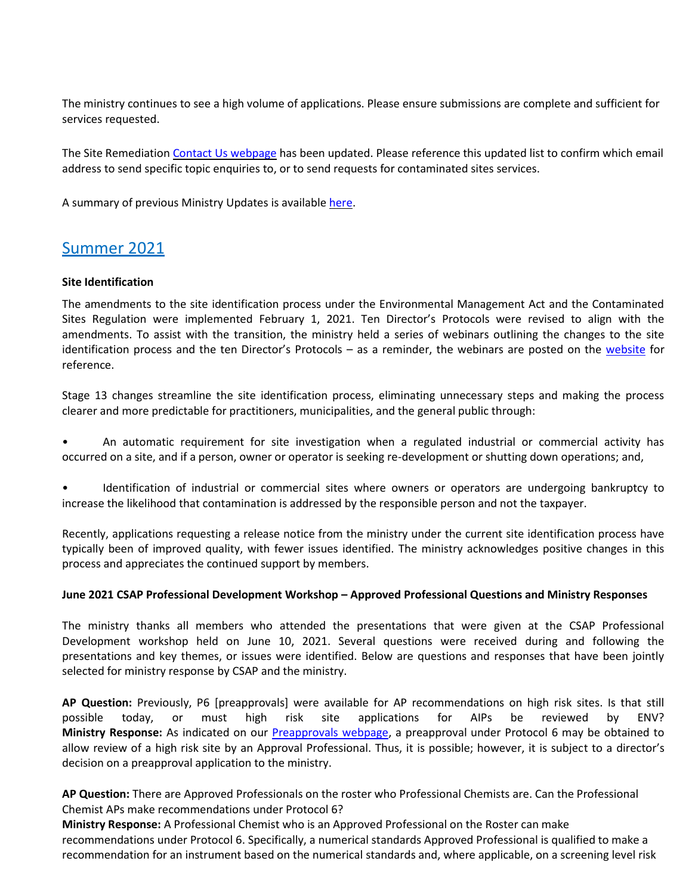The ministry continues to see a high volume of applications. Please ensure submissions are complete and sufficient for services requested.

The Site Remediation [Contact Us webpage](https://can01.safelinks.protection.outlook.com/?url=https%3A%2F%2Fwww2.gov.bc.ca%2Fgov%2Fcontent%3Fid%3DA4D08BEE59244B8BA9DBBA13DF620BDC&data=04%7C01%7Cnpomareda%40csapsociety.bc.ca%7Ce4239fe1024b446526b708d99a56db79%7Cab97e2b2085f45ba971aec284160d874%7C0%7C0%7C637710520102622129%7CUnknown%7CTWFpbGZsb3d8eyJWIjoiMC4wLjAwMDAiLCJQIjoiV2luMzIiLCJBTiI6Ik1haWwiLCJXVCI6Mn0%3D%7C1000&sdata=fZUjkgJhArnSZksdp3rTP1fw5td7tG0reZKp9rGxaYU%3D&reserved=0) has been updated. Please reference this updated list to confirm which email address to send specific topic enquiries to, or to send requests for contaminated sites services.

A summary of previous Ministry Updates is available [here.](https://csapsociety.bc.ca/wp-content/uploads/0-Ministry-Updates-from-Summer-2012.pdf)

## Summer 2021

#### **Site Identification**

The amendments to the site identification process under the Environmental Management Act and the Contaminated Sites Regulation were implemented February 1, 2021. Ten Director's Protocols were revised to align with the amendments. To assist with the transition, the ministry held a series of webinars outlining the changes to the site identification process and the ten Director's Protocols – as a reminder, the webinars are posted on the [website](https://www2.gov.bc.ca/gov/content?id=3F23AF0D56EA4E0E8C02AEECFF96CC53) for reference.

Stage 13 changes streamline the site identification process, eliminating unnecessary steps and making the process clearer and more predictable for practitioners, municipalities, and the general public through:

• An automatic requirement for site investigation when a regulated industrial or commercial activity has occurred on a site, and if a person, owner or operator is seeking re-development or shutting down operations; and,

• Identification of industrial or commercial sites where owners or operators are undergoing bankruptcy to increase the likelihood that contamination is addressed by the responsible person and not the taxpayer.

Recently, applications requesting a release notice from the ministry under the current site identification process have typically been of improved quality, with fewer issues identified. The ministry acknowledges positive changes in this process and appreciates the continued support by members.

#### **June 2021 CSAP Professional Development Workshop – Approved Professional Questions and Ministry Responses**

The ministry thanks all members who attended the presentations that were given at the CSAP Professional Development workshop held on June 10, 2021. Several questions were received during and following the presentations and key themes, or issues were identified. Below are questions and responses that have been jointly selected for ministry response by CSAP and the ministry.

**AP Question:** Previously, P6 [preapprovals] were available for AP recommendations on high risk sites. Is that still possible today, or must high risk site applications for AIPs be reviewed by ENV? **Ministry Response:** As indicated on our [Preapprovals webpage,](https://www2.gov.bc.ca/gov/content?id=51EAB3B21B6144F581168252372DCEC2) a preapproval under Protocol 6 may be obtained to allow review of a high risk site by an Approval Professional. Thus, it is possible; however, it is subject to a director's decision on a preapproval application to the ministry.

**AP Question:** There are Approved Professionals on the roster who Professional Chemists are. Can the Professional Chemist APs make recommendations under Protocol 6?

**Ministry Response:** A Professional Chemist who is an Approved Professional on the Roster can make recommendations under Protocol 6. Specifically, a numerical standards Approved Professional is qualified to make a recommendation for an instrument based on the numerical standards and, where applicable, on a screening level risk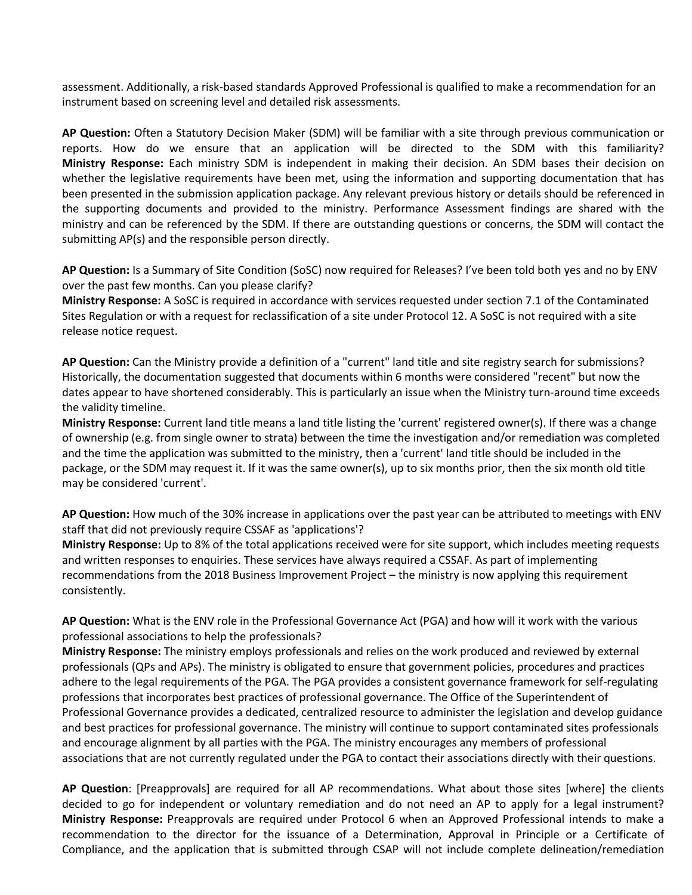assessment. Additionally, a risk-based standards Approved Professional is qualified to make a recommendation for an instrument based on screening level and detailed risk assessments.

**AP Question:** Often a Statutory Decision Maker (SDM) will be familiar with a site through previous communication or reports. How do we ensure that an application will be directed to the SDM with this familiarity? **Ministry Response:** Each ministry SDM is independent in making their decision. An SDM bases their decision on whether the legislative requirements have been met, using the information and supporting documentation that has been presented in the submission application package. Any relevant previous history or details should be referenced in the supporting documents and provided to the ministry. Performance Assessment findings are shared with the ministry and can be referenced by the SDM. If there are outstanding questions or concerns, the SDM will contact the submitting AP(s) and the responsible person directly.

**AP Question:** Is a Summary of Site Condition (SoSC) now required for Releases? I've been told both yes and no by ENV over the past few months. Can you please clarify?

**Ministry Response:** A SoSC is required in accordance with services requested under section 7.1 of the Contaminated Sites Regulation or with a request for reclassification of a site under Protocol 12. A SoSC is not required with a site release notice request.

**AP Question:** Can the Ministry provide a definition of a "current" land title and site registry search for submissions? Historically, the documentation suggested that documents within 6 months were considered "recent" but now the dates appear to have shortened considerably. This is particularly an issue when the Ministry turn-around time exceeds the validity timeline.

**Ministry Response:** Current land title means a land title listing the 'current' registered owner(s). If there was a change of ownership (e.g. from single owner to strata) between the time the investigation and/or remediation was completed and the time the application was submitted to the ministry, then a 'current' land title should be included in the package, or the SDM may request it. If it was the same owner(s), up to six months prior, then the six month old title may be considered 'current'.

**AP Question:** How much of the 30% increase in applications over the past year can be attributed to meetings with ENV staff that did not previously require CSSAF as 'applications'?

**Ministry Response:** Up to 8% of the total applications received were for site support, which includes meeting requests and written responses to enquiries. These services have always required a CSSAF. As part of implementing recommendations from the 2018 Business Improvement Project – the ministry is now applying this requirement consistently.

**AP Question:** What is the ENV role in the Professional Governance Act (PGA) and how will it work with the various professional associations to help the professionals?

**Ministry Response:** The ministry employs professionals and relies on the work produced and reviewed by external professionals (QPs and APs). The ministry is obligated to ensure that government policies, procedures and practices adhere to the legal requirements of the PGA. The PGA provides a consistent governance framework for self-regulating professions that incorporates best practices of professional governance. The Office of the Superintendent of Professional Governance provides a dedicated, centralized resource to administer the legislation and develop guidance and best practices for professional governance. The ministry will continue to support contaminated sites professionals and encourage alignment by all parties with the PGA. The ministry encourages any members of professional associations that are not currently regulated under the PGA to contact their associations directly with their questions.

**AP Question**: [Preapprovals] are required for all AP recommendations. What about those sites [where] the clients decided to go for independent or voluntary remediation and do not need an AP to apply for a legal instrument? **Ministry Response:** Preapprovals are required under Protocol 6 when an Approved Professional intends to make a recommendation to the director for the issuance of a Determination, Approval in Principle or a Certificate of Compliance, and the application that is submitted through CSAP will not include complete delineation/remediation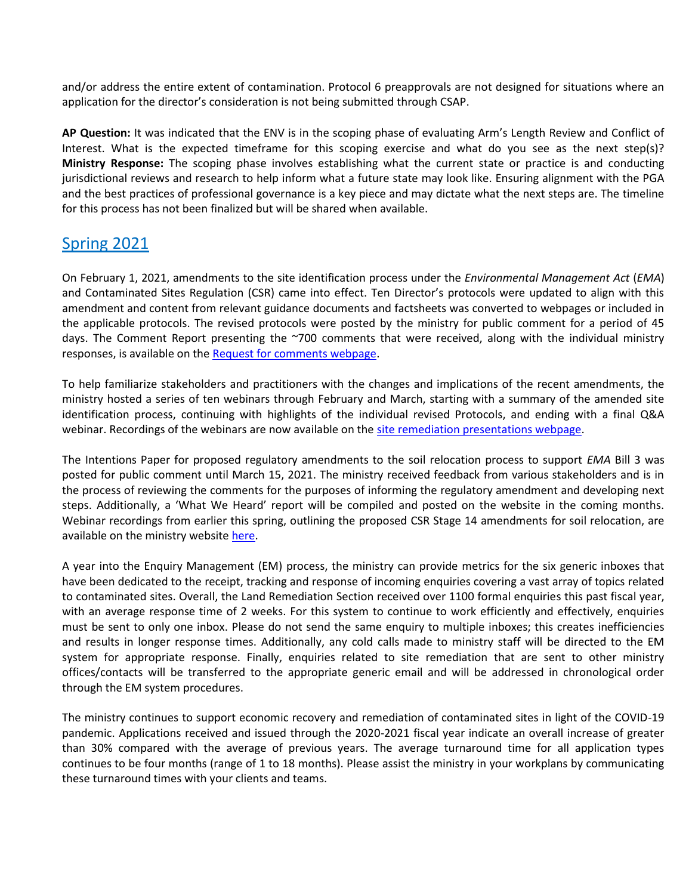and/or address the entire extent of contamination. Protocol 6 preapprovals are not designed for situations where an application for the director's consideration is not being submitted through CSAP.

**AP Question:** It was indicated that the ENV is in the scoping phase of evaluating Arm's Length Review and Conflict of Interest. What is the expected timeframe for this scoping exercise and what do you see as the next step(s)? **Ministry Response:** The scoping phase involves establishing what the current state or practice is and conducting jurisdictional reviews and research to help inform what a future state may look like. Ensuring alignment with the PGA and the best practices of professional governance is a key piece and may dictate what the next steps are. The timeline for this process has not been finalized but will be shared when available.

# Spring 2021

On February 1, 2021, amendments to the site identification process under the *Environmental Management Act* (*EMA*) and Contaminated Sites Regulation (CSR) came into effect. Ten Director's protocols were updated to align with this amendment and content from relevant guidance documents and factsheets was converted to webpages or included in the applicable protocols. The revised protocols were posted by the ministry for public comment for a period of 45 days. The Comment Report presenting the ~700 comments that were received, along with the individual ministry responses, is available on the [Request for comments webpage.](https://www2.gov.bc.ca/gov/content?id=6D2D868F9C024113B1D471578F7690D3)

To help familiarize stakeholders and practitioners with the changes and implications of the recent amendments, the ministry hosted a series of ten webinars through February and March, starting with a summary of the amended site identification process, continuing with highlights of the individual revised Protocols, and ending with a final Q&A webinar. Recordings of the webinars are now available on the [site remediation presentations webpage.](https://www2.gov.bc.ca/gov/content?id=3F23AF0D56EA4E0E8C02AEECFF96CC53)

The Intentions Paper for proposed regulatory amendments to the soil relocation process to support *EMA* Bill 3 was posted for public comment until March 15, 2021. The ministry received feedback from various stakeholders and is in the process of reviewing the comments for the purposes of informing the regulatory amendment and developing next steps. Additionally, a 'What We Heard' report will be compiled and posted on the website in the coming months. Webinar recordings from earlier this spring, outlining the proposed CSR Stage 14 amendments for soil relocation, are available on the ministry website [here.](https://www2.gov.bc.ca/gov/content?id=3F23AF0D56EA4E0E8C02AEECFF96CC53)

A year into the Enquiry Management (EM) process, the ministry can provide metrics for the six generic inboxes that have been dedicated to the receipt, tracking and response of incoming enquiries covering a vast array of topics related to contaminated sites. Overall, the Land Remediation Section received over 1100 formal enquiries this past fiscal year, with an average response time of 2 weeks. For this system to continue to work efficiently and effectively, enquiries must be sent to only one inbox. Please do not send the same enquiry to multiple inboxes; this creates inefficiencies and results in longer response times. Additionally, any cold calls made to ministry staff will be directed to the EM system for appropriate response. Finally, enquiries related to site remediation that are sent to other ministry offices/contacts will be transferred to the appropriate generic email and will be addressed in chronological order through the EM system procedures.

The ministry continues to support economic recovery and remediation of contaminated sites in light of the COVID-19 pandemic. Applications received and issued through the 2020-2021 fiscal year indicate an overall increase of greater than 30% compared with the average of previous years. The average turnaround time for all application types continues to be four months (range of 1 to 18 months). Please assist the ministry in your workplans by communicating these turnaround times with your clients and teams.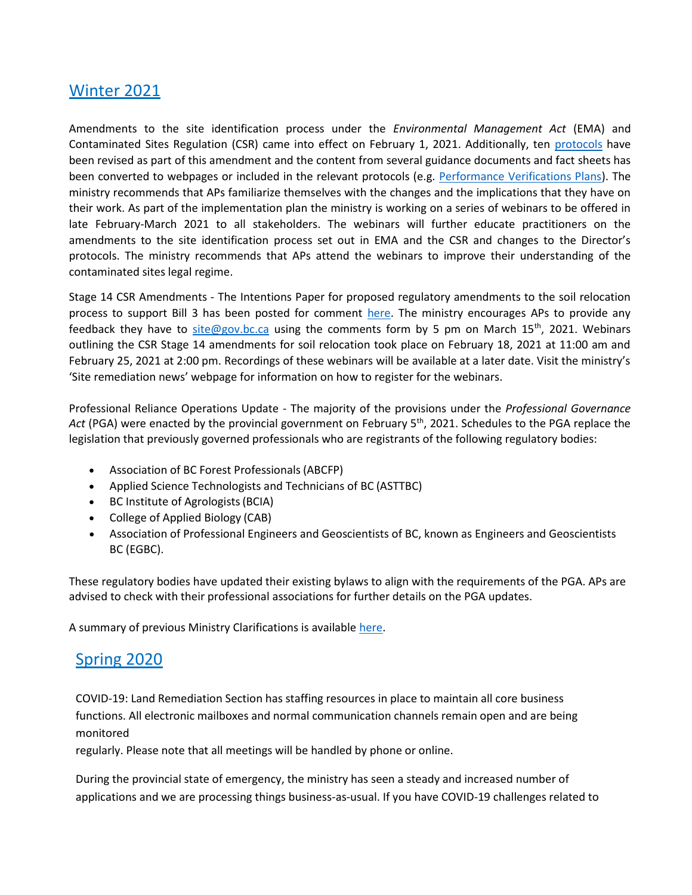## Winter 2021

Amendments to the site identification process under the *Environmental Management Act* (EMA) and Contaminated Sites Regulation (CSR) came into effect on February 1, 2021. Additionally, ten [protocols](https://www2.gov.bc.ca/gov/content?id=9A8B9BE814A1471F86EF4CA87BCE0CE2) have been revised as part of this amendment and the content from several guidance documents and fact sheets has been converted to webpages or included in the relevant protocols (e.g. [Performance Verifications Plans\)](https://www2.gov.bc.ca/gov/content?id=7396B2C21886408FA258F31F118F7BAE). The ministry recommends that APs familiarize themselves with the changes and the implications that they have on their work. As part of the implementation plan the ministry is working on a series of webinars to be offered in late February-March 2021 to all stakeholders. The webinars will further educate practitioners on the amendments to the site identification process set out in EMA and the CSR and changes to the Director's protocols. The ministry recommends that APs attend the webinars to improve their understanding of the contaminated sites legal regime.

Stage 14 CSR Amendments - The Intentions Paper for proposed regulatory amendments to the soil relocation process to support Bill 3 has been posted for comment [here.](https://www2.gov.bc.ca/gov/content?id=6D2D868F9C024113B1D471578F7690D3) The ministry encourages APs to provide any feedback they have to [site@gov.bc.ca](mailto:site@gov.bc.ca) using the comments form by 5 pm on March 15<sup>th</sup>, 2021. Webinars outlining the CSR Stage 14 amendments for soil relocation took place on February 18, 2021 at 11:00 am and February 25, 2021 at 2:00 pm. Recordings of these webinars will be available at a later date. Visit the ministry's 'Site remediation news' webpage for information on how to register for the webinars.

Professional Reliance Operations Update - The majority of the provisions under the *Professional Governance*  Act (PGA) were enacted by the provincial government on February 5<sup>th</sup>, 2021. Schedules to the PGA replace the legislation that previously governed professionals who are registrants of the following regulatory bodies:

- Association of BC Forest Professionals(ABCFP)
- Applied Science Technologists and Technicians of BC (ASTTBC)
- BC Institute of Agrologists(BCIA)
- College of Applied Biology (CAB)
- Association of Professional Engineers and Geoscientists of BC, known as Engineers and Geoscientists BC (EGBC).

These regulatory bodies have updated their existing bylaws to align with the requirements of the PGA. APs are advised to check with their professional associations for further details on the PGA updates.

A summary of previous Ministry Clarifications is available [here.](https://csapsociety.bc.ca/wp-content/uploads/Ministry-Updates-Fall-2020-to-Summer-2012.pdf)

## Spring 2020

COVID-19: Land Remediation Section has staffing resources in place to maintain all core business functions. All electronic mailboxes and normal communication channels remain open and are being monitored

regularly. Please note that all meetings will be handled by phone or online.

During the provincial state of emergency, the ministry has seen a steady and increased number of applications and we are processing things business-as-usual. If you have COVID-19 challenges related to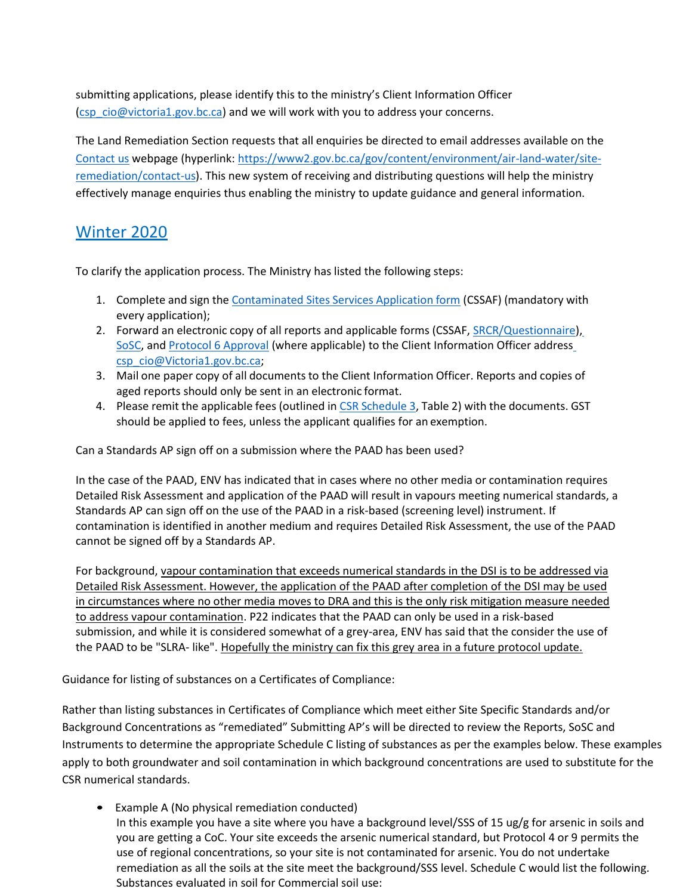submitting applications, please identify this to the ministry's Client Information Officer [\(csp\\_cio@victoria1.gov.bc.ca\)](mailto:csp_cio@victoria1.gov.bc.ca) and we will work with you to address your concerns.

The Land Remediation Section requests that all enquiries be directed to email addresses available on the [Contact](https://www2.gov.bc.ca/gov/content/environment/air-land-water/site-remediation/contact-us) [us](https://www2.gov.bc.ca/gov/content/environment/air-land-water/site-remediation/contact-us) webpage (hyperlink[: https://www2.gov.bc.ca/gov/content/environment/air-land-water/site](https://www2.gov.bc.ca/gov/content/environment/air-land-water/site-remediation/contact-us)[remediation/contact-us\)](https://www2.gov.bc.ca/gov/content/environment/air-land-water/site-remediation/contact-us). This new system of receiving and distributing questions will help the ministry effectively manage enquiries thus enabling the ministry to update guidance and general information.

# Winter 2020

To clarify the application process. The Ministry has listed the following steps:

- 1. Complete and sign the [Contaminated](https://www2.gov.bc.ca/assets/gov/environment/air-land-water/site-remediation/docs/forms/contaminated_sites_services_application_form.pdf?forcedownload=true) Sites Services Application form (CSSAF) (mandatory with every application);
- 2. Forward an electronic copy of all reports and applicable forms (CSSAF, [SRCR/Questionnaire\)](https://www2.gov.bc.ca/assets/gov/environment/air-land-water/site-remediation/docs/forms/site_risk_classification_report_final.pdf?forcedownload=true)[,](https://www2.gov.bc.ca/assets/gov/environment/air-land-water/site-remediation/docs/forms/summary_of_site_condition_final.pdf?forcedownload=true) [SoSC, a](https://www2.gov.bc.ca/assets/gov/environment/air-land-water/site-remediation/docs/forms/summary_of_site_condition_final.pdf?forcedownload=true)nd [Protocol 6 Approval](https://www2.gov.bc.ca/assets/gov/environment/air-land-water/site-remediation/docs/forms/protocol_6_final.pdf?forcedownload=true) (where applicable) to the Client Information Officer addres[s](mailto:csp_cio@Victoria1.gov.bc.ca) [csp\\_cio@Victoria1.gov.bc.ca;](mailto:csp_cio@Victoria1.gov.bc.ca)
- 3. Mail one paper copy of all documents to the Client Information Officer. Reports and copies of aged reports should only be sent in an electronic format.
- 4. Please remit the applicable fees (outlined in CSR Schedule 3, Table 2) with the documents. GST should be applied to fees, unless the applicant qualifies for an exemption.

Can a Standards AP sign off on a submission where the PAAD has been used?

In the case of the PAAD, ENV has indicated that in cases where no other media or contamination requires Detailed Risk Assessment and application of the PAAD will result in vapours meeting numerical standards, a Standards AP can sign off on the use of the PAAD in a risk-based (screening level) instrument. If contamination is identified in another medium and requires Detailed Risk Assessment, the use of the PAAD cannot be signed off by a Standards AP.

For background, vapour contamination that exceeds numerical standards in the DSI is to be addressed via Detailed Risk Assessment. However, the application of the PAAD after completion of the DSI may be used in circumstances where no other media moves to DRA and this is the only risk mitigation measure needed to address vapour contamination. P22 indicates that the PAAD can only be used in a risk-based submission, and while it is considered somewhat of a grey-area, ENV has said that the consider the use of the PAAD to be "SLRA- like". Hopefully the ministry can fix this grey area in a future protocol update.

Guidance for listing of substances on a Certificates of Compliance:

Rather than listing substances in Certificates of Compliance which meet either Site Specific Standards and/or Background Concentrations as "remediated" Submitting AP's will be directed to review the Reports, SoSC and Instruments to determine the appropriate Schedule C listing of substances as per the examples below. These examples apply to both groundwater and soil contamination in which background concentrations are used to substitute for the CSR numerical standards.

Example A (No physical remediation conducted) In this example you have a site where you have a background level/SSS of 15 ug/g for arsenic in soils and you are getting a CoC. Your site exceeds the arsenic numerical standard, but Protocol 4 or 9 permits the use of regional concentrations, so your site is not contaminated for arsenic. You do not undertake remediation as all the soils at the site meet the background/SSS level. Schedule C would list the following. Substances evaluated in soil for Commercial soil use: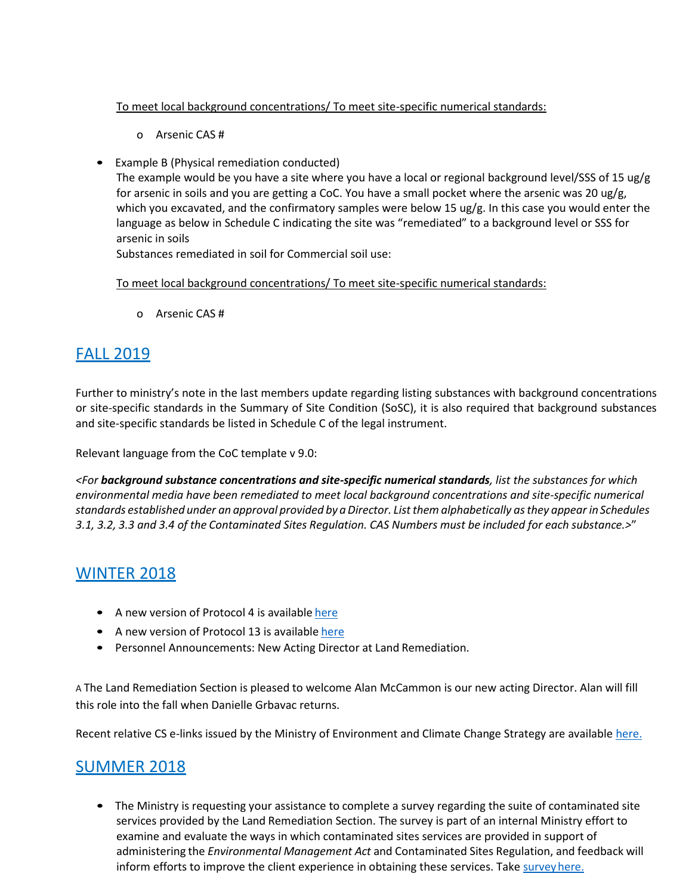### To meet local background concentrations/ To meet site-specific numerical standards:

- o Arsenic CAS #
- Example B (Physical remediation conducted)

The example would be you have a site where you have a local or regional background level/SSS of 15 ug/g for arsenic in soils and you are getting a CoC. You have a small pocket where the arsenic was 20 ug/g, which you excavated, and the confirmatory samples were below 15 ug/g. In this case you would enter the language as below in Schedule C indicating the site was "remediated" to a background level or SSS for arsenic in soils

Substances remediated in soil for Commercial soil use:

To meet local background concentrations/ To meet site-specific numerical standards:

o Arsenic CAS #

# FALL 2019

Further to ministry's note in the last members update regarding listing substances with background concentrations or site-specific standards in the Summary of Site Condition (SoSC), it is also required that background substances and site-specific standards be listed in Schedule C of the legal instrument.

Relevant language from the CoC template v 9.0:

*<For background substance concentrations and site-specific numerical standards, list the substances for which environmental media have been remediated to meet local background concentrations and site-specific numerical standards established under an approval provided by aDirector. Listthem alphabetically asthey appear inSchedules*  3.1, 3.2, 3.3 and 3.4 of the Contaminated Sites Regulation. CAS Numbers must be included for each substance.>"

# **WINTER 2018**

- A new version of Protocol 4 is available [here](https://www2.gov.bc.ca/assets/gov/environment/air-land-water/site-remediation/docs/protocols/protocol_4.pdf)
- A new version of Protocol 13 is available [here](https://www2.gov.bc.ca/assets/gov/environment/air-land-water/site-remediation/docs/protocols/protocol_13.pdf)
- Personnel Announcements: New Acting Director at Land Remediation.

A The Land Remediation Section is pleased to welcome Alan McCammon is our new acting Director. Alan will fill this role into the fall when Danielle Grbavac returns.

Recent relative CS e-links issued by the Ministry of Environment and Climate Change Strategy are available [here.](https://www2.gov.bc.ca/gov/content/environment/air-land-water/site-remediation/contaminated-sites/cs-e-link-recent-messages)

# SUMMER 2018

• The Ministry is requesting your assistance to complete a survey regarding the suite of contaminated site services provided by the Land Remediation Section. The survey is part of an internal Ministry effort to examine and evaluate the ways in which contaminated sites services are provided in support of administering the *Environmental Management Act* and Contaminated Sites Regulation, and feedback will inform efforts to improve the client experience in obtaining these services. Take survey here.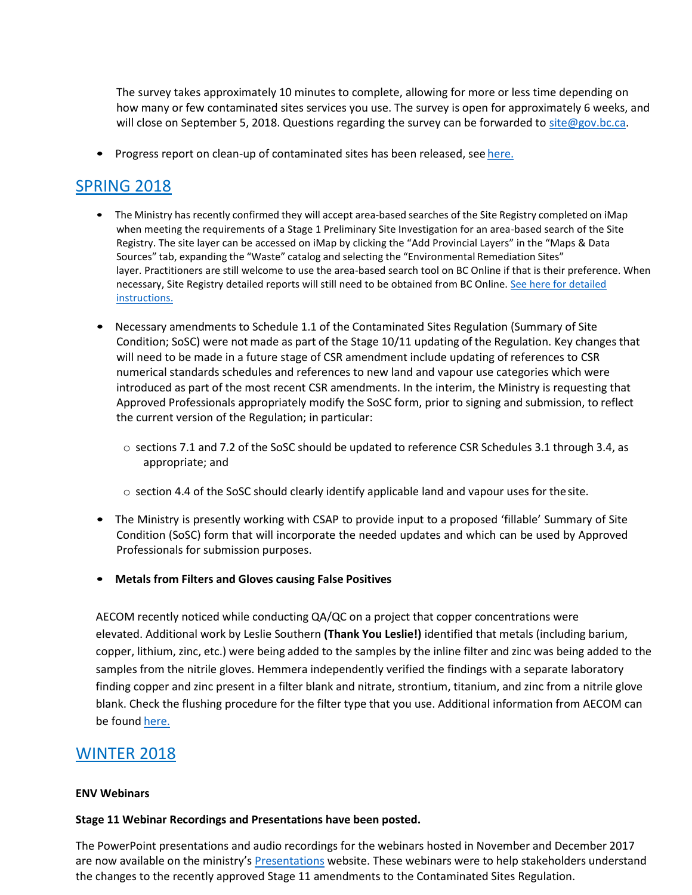The survey takes approximately 10 minutes to complete, allowing for more or less time depending on how many or few contaminated sites services you use. The survey is open for approximately 6 weeks, and will close on September 5, 2018. Questions regarding the survey can be forwarded to [site@gov.bc.ca.](mailto:site@gov.bc.ca)

• Progress report on clean-up of contaminated sites has been released, see [here.](https://news.gov.bc.ca/releases/2018FLNR0167-001338)

# SPRING 2018

- The Ministry has recently confirmed they will accept area-based searches of the Site Registry completed on iMap when meeting the requirements of a Stage 1 Preliminary Site Investigation for an area-based search of the Site Registry. The site layer can be accessed on iMap by clicking the "Add Provincial Layers" in the "Maps & Data Sources" tab, expanding the "Waste" catalog and selecting the "Environmental Remediation Sites" layer. Practitioners are still welcome to use the area-based search tool on BC Online if that is their preference. When necessary, Site Registry detailed reports will still need to be obtained from BC Online[. See here for detailed](https://www2.gov.bc.ca/gov/content/data/geographic-data-services/web-based-mapping/imapbc) [instructions.](https://www2.gov.bc.ca/gov/content/data/geographic-data-services/web-based-mapping/imapbc)
- Necessary amendments to Schedule 1.1 of the Contaminated Sites Regulation (Summary of Site Condition; SoSC) were not made as part of the Stage 10/11 updating of the Regulation. Key changes that will need to be made in a future stage of CSR amendment include updating of references to CSR numerical standards schedules and references to new land and vapour use categories which were introduced as part of the most recent CSR amendments. In the interim, the Ministry is requesting that Approved Professionals appropriately modify the SoSC form, prior to signing and submission, to reflect the current version of the Regulation; in particular:
	- o sections 7.1 and 7.2 of the SoSC should be updated to reference CSR Schedules 3.1 through 3.4, as appropriate; and
	- $\circ$  section 4.4 of the SoSC should clearly identify applicable land and vapour uses for the site.
- The Ministry is presently working with CSAP to provide input to a proposed 'fillable' Summary of Site Condition (SoSC) form that will incorporate the needed updates and which can be used by Approved Professionals for submission purposes.
- **Metals from Filters and Gloves causing False Positives**

AECOM recently noticed while conducting QA/QC on a project that copper concentrations were elevated. Additional work by Leslie Southern **(Thank You Leslie!)** identified that metals (including barium, copper, lithium, zinc, etc.) were being added to the samples by the inline filter and zinc was being added to the samples from the nitrile gloves. Hemmera independently verified the findings with a separate laboratory finding copper and zinc present in a filter blank and nitrate, strontium, titanium, and zinc from a nitrile glove blank. Check the flushing procedure for the filter type that you use. Additional information from AECOM can be found [here.](https://csapsociety.bc.ca/wp-content/uploads/20180508.Are-your-field-equipment-choices-affecting-your-results.pdf)

## WINTER 2018

#### **ENV Webinars**

#### **Stage 11 Webinar Recordings and Presentations have been posted.**

The PowerPoint presentations and audio recordings for the webinars hosted in November and December 2017 are now available on the ministry's [Presentations](https://www2.gov.bc.ca/gov/content/environment/air-land-water/site-remediation/guidance-resources/presentations) website. These webinars were to help stakeholders understand the changes to the recently approved Stage 11 amendments to the Contaminated Sites Regulation.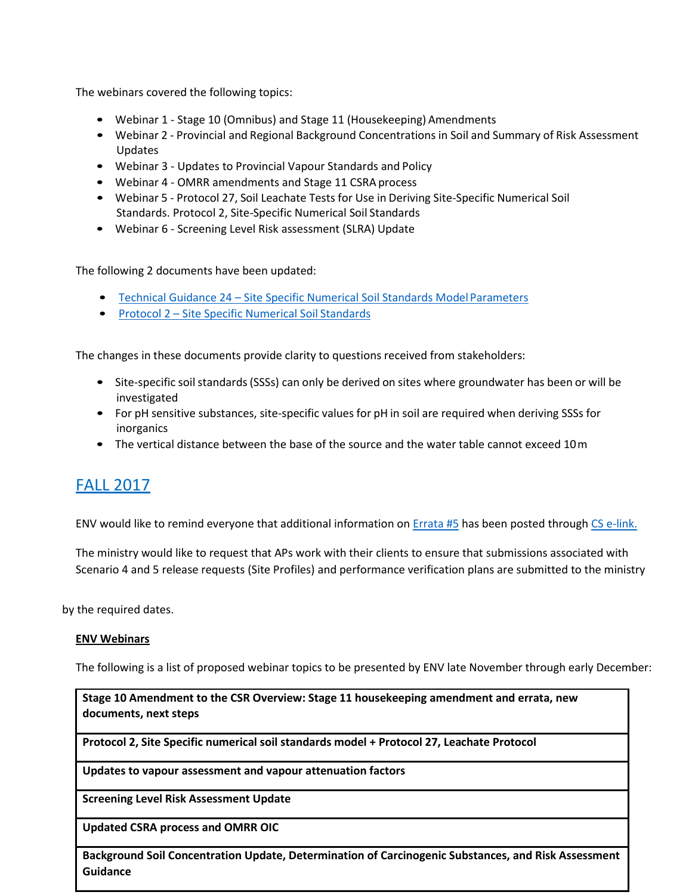The webinars covered the following topics:

- Webinar 1 Stage 10 (Omnibus) and Stage 11 (Housekeeping) Amendments
- Webinar 2 Provincial and Regional Background Concentrations in Soil and Summary of Risk Assessment Updates
- Webinar 3 Updates to Provincial Vapour Standards and Policy
- Webinar 4 OMRR amendments and Stage 11 CSRA process
- Webinar 5 Protocol 27, Soil Leachate Tests for Use in Deriving Site-Specific Numerical Soil Standards. Protocol 2, Site-Specific Numerical Soil Standards
- Webinar 6 Screening Level Risk assessment (SLRA) Update

The following 2 documents have been updated:

- Technical Guidance 24 Site Specific Numerical Soil Standards Model Parameters
- Protocol 2 [Site Specific Numerical Soil](https://www2.gov.bc.ca/assets/gov/environment/air-land-water/site-remediation/docs/protocols/protocol_2.pdf) Standards

The changes in these documents provide clarity to questions received from stakeholders:

- Site-specific soil standards (SSSs) can only be derived on sites where groundwater has been or will be investigated
- For pH sensitive substances, site-specific values for pH in soil are required when deriving SSSs for inorganics
- The vertical distance between the base of the source and the water table cannot exceed 10m

# FALL 2017

ENV would like to remind everyone that additional information on [Errata #5](https://www2.gov.bc.ca/assets/gov/environment/air-land-water/site-remediation/docs/bulletins/errata2.pdf) has been posted through [CS e-link.](https://www2.gov.bc.ca/gov/content/environment/air-land-water/site-remediation/contaminated-sites/cs-e-link-recent-messages)

The ministry would like to request that APs work with their clients to ensure that submissions associated with Scenario 4 and 5 release requests (Site Profiles) and performance verification plans are submitted to the ministry

by the required dates.

#### **ENV Webinars**

The following is a list of proposed webinar topics to be presented by ENV late November through early December:

**Stage 10 Amendment to the CSR Overview: Stage 11 housekeeping amendment and errata, new documents, next steps**

**Protocol 2, Site Specific numerical soil standards model + Protocol 27, Leachate Protocol**

**Updates to vapour assessment and vapour attenuation factors**

**Screening Level Risk Assessment Update**

**Updated CSRA process and OMRR OIC**

**Background Soil Concentration Update, Determination of Carcinogenic Substances, and Risk Assessment Guidance**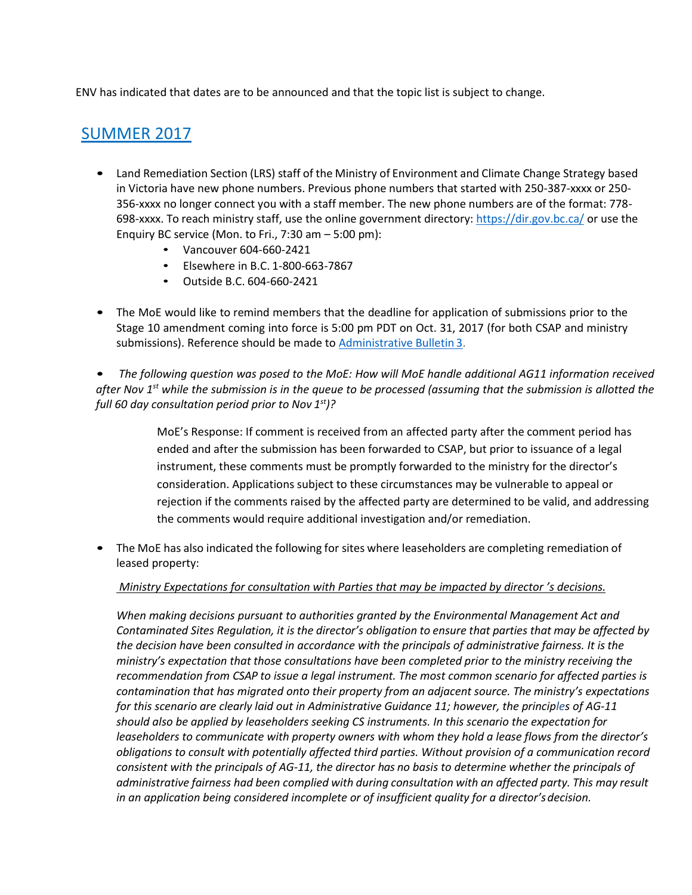ENV has indicated that dates are to be announced and that the topic list is subject to change.

# SUMMER 2017

- Land Remediation Section (LRS) staff of the Ministry of Environment and Climate Change Strategy based in Victoria have new phone numbers. Previous phone numbers that started with 250-387-xxxx or 250- 356-xxxx no longer connect you with a staff member. The new phone numbers are of the format: 778- 698-xxxx. To reach ministry staff, use the online government directory: <https://dir.gov.bc.ca/> or use the Enquiry BC service (Mon. to Fri.,  $7:30$  am  $-5:00$  pm):
	- Vancouver 604-660-2421
	- Elsewhere in B.C. 1-800-663-7867
	- Outside B.C. 604-660-2421
- The MoE would like to remind members that the deadline for application of submissions prior to the Stage 10 amendment coming into force is 5:00 pm PDT on Oct. 31, 2017 (for both CSAP and ministry submissions). Reference should be made to **[Administrative Bulletin](http://www2.gov.bc.ca/assets/gov/environment/air-land-water/site-remediation/docs/bulletins/admin_bulletin_submission_guidance_stage_10_amendment.pdf) 3**.

• *The following question was posed to the MoE: How will MoE handle additional AG11 information received after Nov 1st while the submission is in the queue to be processed (assuming that the submission is allotted the full 60 day consultation period prior to Nov 1 st)?*

> MoE's Response: If comment is received from an affected party after the comment period has ended and after the submission has been forwarded to CSAP, but prior to issuance of a legal instrument, these comments must be promptly forwarded to the ministry for the director's consideration. Applications subject to these circumstances may be vulnerable to appeal or rejection if the comments raised by the affected party are determined to be valid, and addressing the comments would require additional investigation and/or remediation.

• The MoE has also indicated the following for sites where leaseholders are completing remediation of leased property:

*Ministry Expectations for consultation with Parties that may be impacted by director 's decisions.* 

*When making decisions pursuant to authorities granted by the Environmental Management Act and*  Contaminated Sites Regulation, it is the director's obligation to ensure that parties that may be affected by *the decision have been consulted in accordance with the principals of administrative fairness. It is the ministry's expectation that those consultations have been completed prior to the ministry receiving the recommendation from CSAP to issue a legal instrument. The most common scenario for affected parties is contamination that has migrated onto their property from an adjacent source. The ministry's expectations for this scenario are clearly laid out in Administrative Guidance 11; however, the principles of AG-11 should also be applied by leaseholders seeking CS instruments. In this scenario the expectation for leaseholders to communicate with property owners with whom they hold a lease flows from the director's obligations to consult with potentially affected third parties. Without provision of a communication record consistent with the principals of AG-11, the director has no basis to determine whether the principals of administrative fairness had been complied with during consultation with an affected party. This may result in an application being considered incomplete or of insufficient quality for a director's decision.*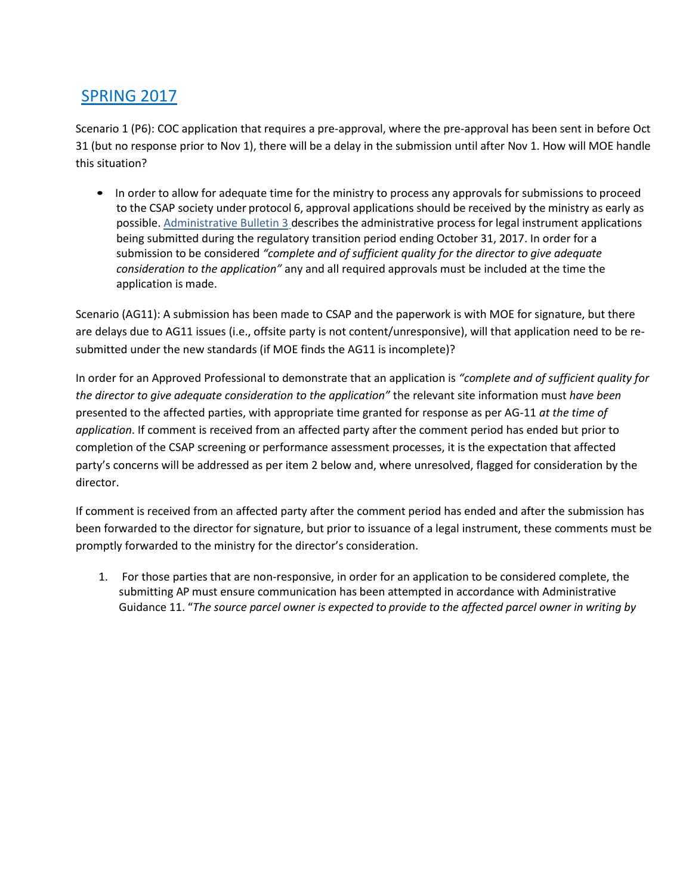# SPRING 2017

Scenario 1 (P6): COC application that requires a pre-approval, where the pre-approval has been sent in before Oct 31 (but no response prior to Nov 1), there will be a delay in the submission until after Nov 1. How will MOE handle this situation?

• In order to allow for adequate time for the ministry to process any approvals for submissions to proceed to the CSAP society under protocol 6, approval applications should be received by the ministry as early as possible. [Administrative Bulletin 3](http://www2.gov.bc.ca/assets/gov/environment/air-land-water/site-remediation/docs/bulletins/admin_bulletin_submission_guidance_stage_10_amendment.pdf) describes the administrative process for legal instrument applications being submitted during the regulatory transition period ending October 31, 2017. In order for a submission to be considered *"complete and of sufficient quality for the director to give adequate consideration to the application"* any and all required approvals must be included at the time the application is made.

Scenario (AG11): A submission has been made to CSAP and the paperwork is with MOE for signature, but there are delays due to AG11 issues (i.e., offsite party is not content/unresponsive), will that application need to be resubmitted under the new standards (if MOE finds the AG11 is incomplete)?

In order for an Approved Professional to demonstrate that an application is *"complete and of sufficient quality for the director to give adequate consideration to the application"* the relevant site information must *have been*  presented to the affected parties, with appropriate time granted for response as per AG-11 *at the time of application*. If comment is received from an affected party after the comment period has ended but prior to completion of the CSAP screening or performance assessment processes, it is the expectation that affected party's concerns will be addressed as per item 2 below and, where unresolved, flagged for consideration by the director.

If comment is received from an affected party after the comment period has ended and after the submission has been forwarded to the director for signature, but prior to issuance of a legal instrument, these comments must be promptly forwarded to the ministry for the director's consideration.

1. For those parties that are non-responsive, in order for an application to be considered complete, the submitting AP must ensure communication has been attempted in accordance with Administrative Guidance 11. "*The source parcel owner is expected to provide to the affected parcel owner in writing by*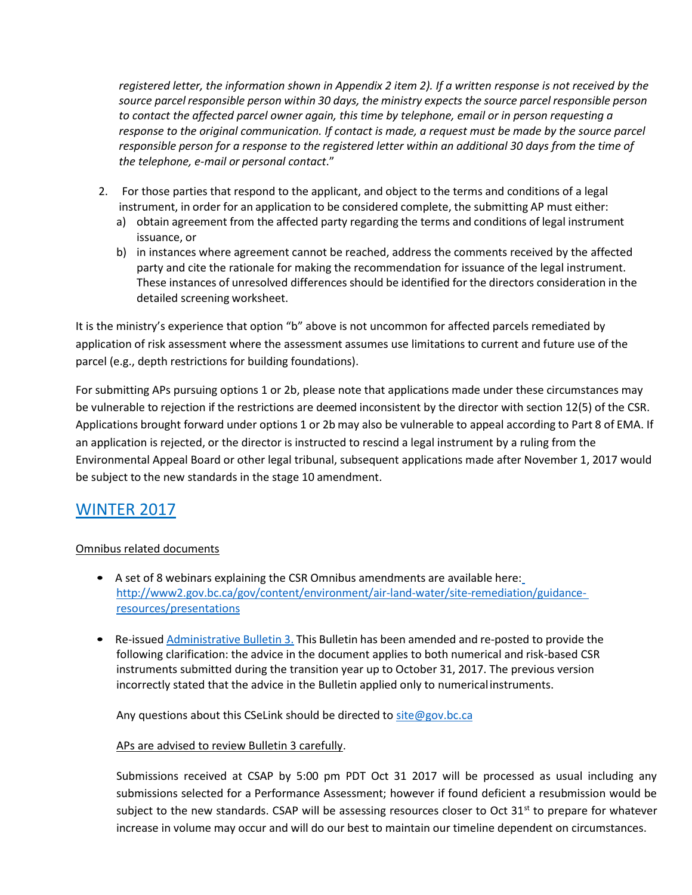*registered letter, the information shown in Appendix 2 item 2). If a written response is not received by the source parcelresponsible person within 30 days, the ministry expects the source parcel responsible person to contact the affected parcel owner again, this time by telephone, email or in person requesting a response to the original communication. If contact is made, a request must be made by the source parcel responsible person for a response to the registered letter within an additional 30 days from the time of the telephone, e-mail or personal contact*."

- 2. For those parties that respond to the applicant, and object to the terms and conditions of a legal instrument, in order for an application to be considered complete, the submitting AP must either:
	- a) obtain agreement from the affected party regarding the terms and conditions of legal instrument issuance, or
	- b) in instances where agreement cannot be reached, address the comments received by the affected party and cite the rationale for making the recommendation for issuance of the legal instrument. These instances of unresolved differences should be identified for the directors consideration in the detailed screening worksheet.

It is the ministry's experience that option "b" above is not uncommon for affected parcels remediated by application of risk assessment where the assessment assumes use limitations to current and future use of the parcel (e.g., depth restrictions for building foundations).

For submitting APs pursuing options 1 or 2b, please note that applications made under these circumstances may be vulnerable to rejection if the restrictions are deemed inconsistent by the director with section 12(5) of the CSR. Applications brought forward under options 1 or 2b may also be vulnerable to appeal according to Part 8 of EMA. If an application is rejected, or the director is instructed to rescind a legal instrument by a ruling from the Environmental Appeal Board or other legal tribunal, subsequent applications made after November 1, 2017 would be subject to the new standards in the stage 10 amendment.

## WINTER 2017

### Omnibus related documents

- A set of 8 webinars explaining the CSR Omnibus amendments are available here[:](http://www2.gov.bc.ca/gov/content/environment/air-land-water/site-remediation/guidance-resources/presentations) [http://www2.gov.bc.ca/gov/content/environment/air-land-water/site-remediation/guidance](http://www2.gov.bc.ca/gov/content/environment/air-land-water/site-remediation/guidance-resources/presentations)[resources/presentations](http://www2.gov.bc.ca/gov/content/environment/air-land-water/site-remediation/guidance-resources/presentations)
- Re-issued [Administrative](http://www2.gov.bc.ca/assets/gov/environment/air-land-water/site-remediation/docs/bulletins/admin_bulletin_submission_guidance_stage_10_amendment.pdf) Bulletin 3. This Bulletin has been amended and re-posted to provide the following clarification: the advice in the document applies to both numerical and risk-based CSR instruments submitted during the transition year up to October 31, 2017. The previous version incorrectly stated that the advice in the Bulletin applied only to numericalinstruments.

Any questions about this CSeLink should be directed to site @gov.bc.ca

### APs are advised to review Bulletin 3 carefully.

Submissions received at CSAP by 5:00 pm PDT Oct 31 2017 will be processed as usual including any submissions selected for a Performance Assessment; however if found deficient a resubmission would be subject to the new standards. CSAP will be assessing resources closer to Oct  $31<sup>st</sup>$  to prepare for whatever increase in volume may occur and will do our best to maintain our timeline dependent on circumstances.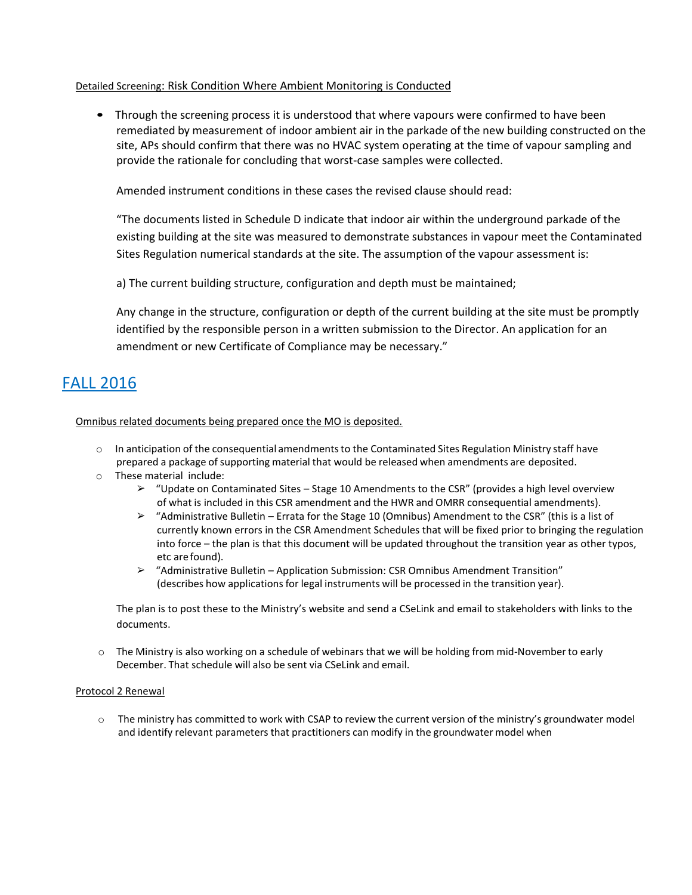#### Detailed Screening: Risk Condition Where Ambient Monitoring is Conducted

• Through the screening process it is understood that where vapours were confirmed to have been remediated by measurement of indoor ambient air in the parkade of the new building constructed on the site, APs should confirm that there was no HVAC system operating at the time of vapour sampling and provide the rationale for concluding that worst-case samples were collected.

Amended instrument conditions in these cases the revised clause should read:

"The documents listed in Schedule D indicate that indoor air within the underground parkade of the existing building at the site was measured to demonstrate substances in vapour meet the Contaminated Sites Regulation numerical standards at the site. The assumption of the vapour assessment is:

a) The current building structure, configuration and depth must be maintained;

Any change in the structure, configuration or depth of the current building at the site must be promptly identified by the responsible person in a written submission to the Director. An application for an amendment or new Certificate of Compliance may be necessary."

# FALL 2016

Omnibus related documents being prepared once the MO is deposited.

- $\circ$  In anticipation of the consequential amendments to the Contaminated Sites Regulation Ministry staff have prepared a package of supporting material that would be released when amendments are deposited.
- o These material include:
	- ➢ "Update on Contaminated Sites Stage 10 Amendments to the CSR" (provides a high level overview of what is included in this CSR amendment and the HWR and OMRR consequential amendments).
	- $\triangleright$  "Administrative Bulletin Errata for the Stage 10 (Omnibus) Amendment to the CSR" (this is a list of currently known errors in the CSR Amendment Schedules that will be fixed prior to bringing the regulation into force – the plan is that this document will be updated throughout the transition year as other typos, etc are found).
	- ➢ "Administrative Bulletin Application Submission: CSR Omnibus Amendment Transition" (describes how applications for legal instruments will be processed in the transition year).

The plan is to post these to the Ministry's website and send a CSeLink and email to stakeholders with links to the documents.

o The Ministry is also working on a schedule of webinars that we will be holding from mid-Novemberto early December. That schedule will also be sent via CSeLink and email.

#### Protocol 2 Renewal

o The ministry has committed to work with CSAP to review the current version of the ministry's groundwater model and identify relevant parameters that practitioners can modify in the groundwater model when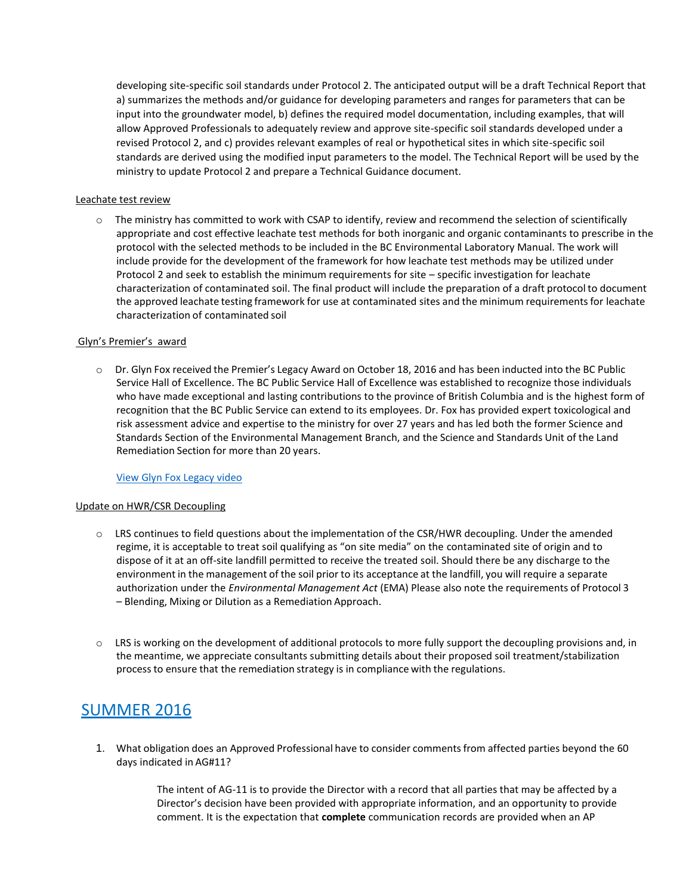developing site-specific soil standards under Protocol 2. The anticipated output will be a draft Technical Report that a) summarizes the methods and/or guidance for developing parameters and ranges for parameters that can be input into the groundwater model, b) defines the required model documentation, including examples, that will allow Approved Professionals to adequately review and approve site-specific soil standards developed under a revised Protocol 2, and c) provides relevant examples of real or hypothetical sites in which site-specific soil standards are derived using the modified input parameters to the model. The Technical Report will be used by the ministry to update Protocol 2 and prepare a Technical Guidance document.

#### Leachate test review

 $\circ$  The ministry has committed to work with CSAP to identify, review and recommend the selection of scientifically appropriate and cost effective leachate test methods for both inorganic and organic contaminants to prescribe in the protocol with the selected methods to be included in the BC Environmental Laboratory Manual. The work will include provide for the development of the framework for how leachate test methods may be utilized under Protocol 2 and seek to establish the minimum requirements for site – specific investigation for leachate characterization of contaminated soil. The final product will include the preparation of a draft protocol to document the approved leachate testing framework for use at contaminated sites and the minimum requirements for leachate characterization of contaminated soil

#### Glyn's Premier's award

o Dr. Glyn Fox received the Premier's Legacy Award on October 18, 2016 and has been inducted into the BC Public Service Hall of Excellence. The BC Public Service Hall of Excellence was established to recognize those individuals who have made exceptional and lasting contributions to the province of British Columbia and is the highest form of recognition that the BC Public Service can extend to its employees. Dr. Fox has provided expert toxicological and risk assessment advice and expertise to the ministry for over 27 years and has led both the former Science and Standards Section of the Environmental Management Branch, and the Science and Standards Unit of the Land Remediation Section for more than 20 years.

#### [View Glyn Fox Legacy video](http://www2.gov.bc.ca/gov/content/governments/organizational-structure/public-service/hall-of-excellence/glyn-fox)

#### Update on HWR/CSR Decoupling

- o LRS continues to field questions about the implementation of the CSR/HWR decoupling. Under the amended regime, it is acceptable to treat soil qualifying as "on site media" on the contaminated site of origin and to dispose of it at an off-site landfill permitted to receive the treated soil. Should there be any discharge to the environment in the management of the soil prior to its acceptance at the landfill, you will require a separate authorization under the *Environmental Management Act* (EMA) Please also note the requirements of Protocol 3 – Blending, Mixing or Dilution as a Remediation Approach.
- $\circ$  LRS is working on the development of additional protocols to more fully support the decoupling provisions and, in the meantime, we appreciate consultants submitting details about their proposed soil treatment/stabilization processto ensure that the remediation strategy is in compliance with the regulations.

## SUMMER 2016

1. What obligation does an Approved Professional have to consider commentsfrom affected parties beyond the 60 days indicated in AG#11?

> The intent of AG-11 is to provide the Director with a record that all parties that may be affected by a Director's decision have been provided with appropriate information, and an opportunity to provide comment. It is the expectation that **complete** communication records are provided when an AP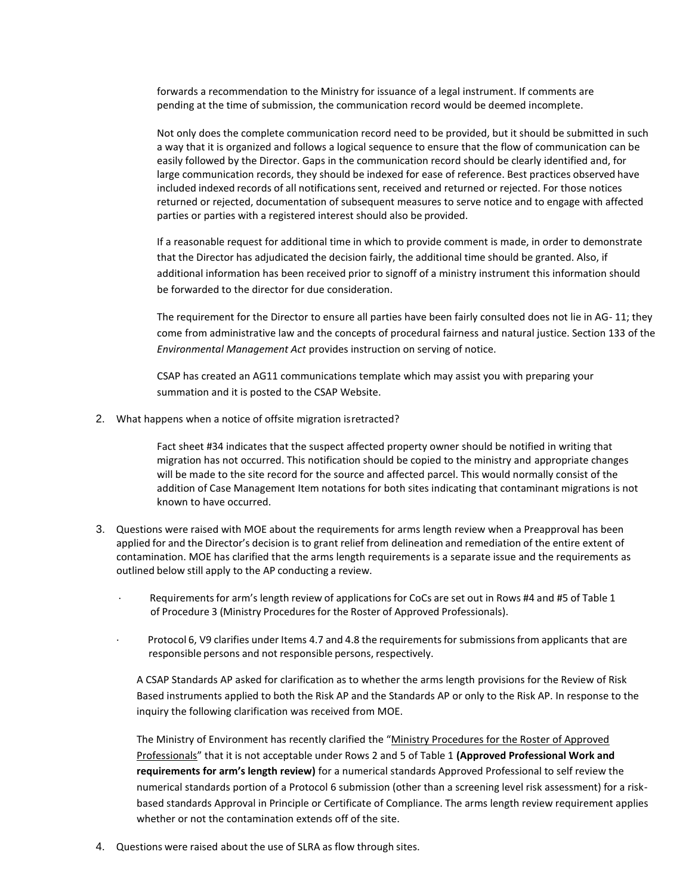forwards a recommendation to the Ministry for issuance of a legal instrument. If comments are pending at the time of submission, the communication record would be deemed incomplete.

Not only does the complete communication record need to be provided, but it should be submitted in such a way that it is organized and follows a logical sequence to ensure that the flow of communication can be easily followed by the Director. Gaps in the communication record should be clearly identified and, for large communication records, they should be indexed for ease of reference. Best practices observed have included indexed records of all notifications sent, received and returned or rejected. For those notices returned or rejected, documentation of subsequent measures to serve notice and to engage with affected parties or parties with a registered interest should also be provided.

If a reasonable request for additional time in which to provide comment is made, in order to demonstrate that the Director has adjudicated the decision fairly, the additional time should be granted. Also, if additional information has been received prior to signoff of a ministry instrument this information should be forwarded to the director for due consideration.

The requirement for the Director to ensure all parties have been fairly consulted does not lie in AG- 11; they come from administrative law and the concepts of procedural fairness and natural justice. Section 133 of the *Environmental Management Act* provides instruction on serving of notice.

CSAP has created an AG11 communications template which may assist you with preparing your summation and it is posted to the CSAP Website.

2. What happens when a notice of offsite migration isretracted?

Fact sheet #34 indicates that the suspect affected property owner should be notified in writing that migration has not occurred. This notification should be copied to the ministry and appropriate changes will be made to the site record for the source and affected parcel. This would normally consist of the addition of Case Management Item notations for both sites indicating that contaminant migrations is not known to have occurred.

- 3. Questions were raised with MOE about the requirements for arms length review when a Preapproval has been applied for and the Director's decision is to grant relief from delineation and remediation of the entire extent of contamination. MOE has clarified that the arms length requirements is a separate issue and the requirements as outlined below still apply to the AP conducting a review.
	- Requirements for arm's length review of applications for CoCs are set out in Rows #4 and #5 of Table 1 of Procedure 3 (Ministry Procedures for the Roster of Approved Professionals).
	- Protocol 6, V9 clarifies under Items 4.7 and 4.8 the requirements for submissions from applicants that are responsible persons and not responsible persons, respectively.

A CSAP Standards AP asked for clarification as to whether the arms length provisions for the Review of Risk Based instruments applied to both the Risk AP and the Standards AP or only to the Risk AP. In response to the inquiry the following clarification was received from MOE.

The Ministry of Environment has recently clarified the "[Ministry Procedures for the Roster of Approved](http://www.env.gov.bc.ca/epd/remediation/policy_procedure_protocol/procedure/pdf/roster_procedure.pdf) [Professionals](http://www.env.gov.bc.ca/epd/remediation/policy_procedure_protocol/procedure/pdf/roster_procedure.pdf)" that it is not acceptable under Rows 2 and 5 of Table 1 **(Approved Professional Work and requirements for arm's length review)** for a numerical standards Approved Professional to self review the numerical standards portion of a Protocol 6 submission (other than a screening level risk assessment) for a riskbased standards Approval in Principle or Certificate of Compliance. The arms length review requirement applies whether or not the contamination extends off of the site.

4. Questions were raised about the use of SLRA as flow through sites.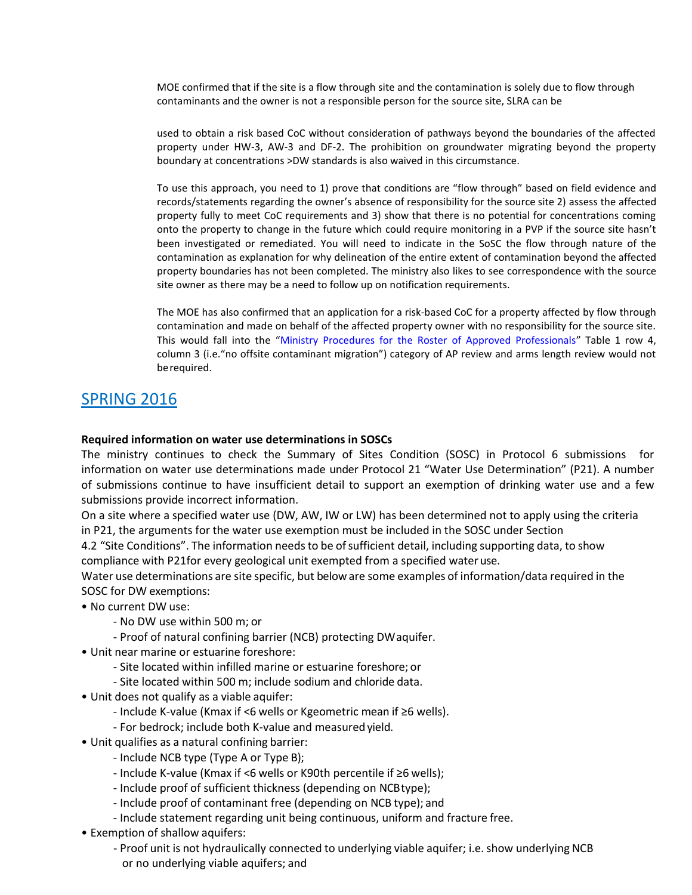MOE confirmed that if the site is a flow through site and the contamination is solely due to flow through contaminants and the owner is not a responsible person for the source site, SLRA can be

used to obtain a risk based CoC without consideration of pathways beyond the boundaries of the affected property under HW-3, AW-3 and DF-2. The prohibition on groundwater migrating beyond the property boundary at concentrations >DW standards is also waived in this circumstance.

To use this approach, you need to 1) prove that conditions are "flow through" based on field evidence and records/statements regarding the owner's absence of responsibility for the source site 2) assess the affected property fully to meet CoC requirements and 3) show that there is no potential for concentrations coming onto the property to change in the future which could require monitoring in a PVP if the source site hasn't been investigated or remediated. You will need to indicate in the SoSC the flow through nature of the contamination as explanation for why delineation of the entire extent of contamination beyond the affected property boundaries has not been completed. The ministry also likes to see correspondence with the source site owner as there may be a need to follow up on notification requirements.

The MOE has also confirmed that an application for a risk-based CoC for a property affected by flow through contamination and made on behalf of the affected property owner with no responsibility for the source site. This would fall into the "Ministry Procedures for the Roster of Approved Professionals" Table 1 row 4, column 3 (i.e."no offsite contaminant migration") category of AP review and arms length review would not berequired.

# SPRING 2016

#### **Required information on water use determinations in SOSCs**

The ministry continues to check the Summary of Sites Condition (SOSC) in Protocol 6 submissions for information on water use determinations made under Protocol 21 "Water Use Determination" (P21). A number of submissions continue to have insufficient detail to support an exemption of drinking water use and a few submissions provide incorrect information.

On a site where a specified water use (DW, AW, IW or LW) has been determined not to apply using the criteria in P21, the arguments for the water use exemption must be included in the SOSC under Section

4.2 "Site Conditions". The information needsto be ofsufficient detail, including supporting data, to show compliance with P21for every geological unit exempted from a specified water use.

Water use determinations are site specific, but beloware some examples of information/data required in the SOSC for DW exemptions:

- No current DW use:
	- No DW use within 500 m; or
	- Proof of natural confining barrier (NCB) protecting DWaquifer.
- Unit near marine or estuarine foreshore:
	- Site located within infilled marine or estuarine foreshore; or
	- Site located within 500 m; include sodium and chloride data.
- Unit does not qualify as a viable aquifer:
	- Include K-value (Kmax if <6 wells or Kgeometric mean if ≥6 wells).
	- For bedrock; include both K-value and measuredyield.
- Unit qualifies as a natural confining barrier:
	- Include NCB type (Type A or Type B);
	- Include K-value (Kmax if <6 wells or K90th percentile if ≥6 wells);
	- Include proof of sufficient thickness (depending on NCBtype);
	- Include proof of contaminant free (depending on NCB type); and
	- Include statement regarding unit being continuous, uniform and fracture free.
- Exemption of shallow aquifers:
	- Proof unit is not hydraulically connected to underlying viable aquifer; i.e. show underlying NCB or no underlying viable aquifers; and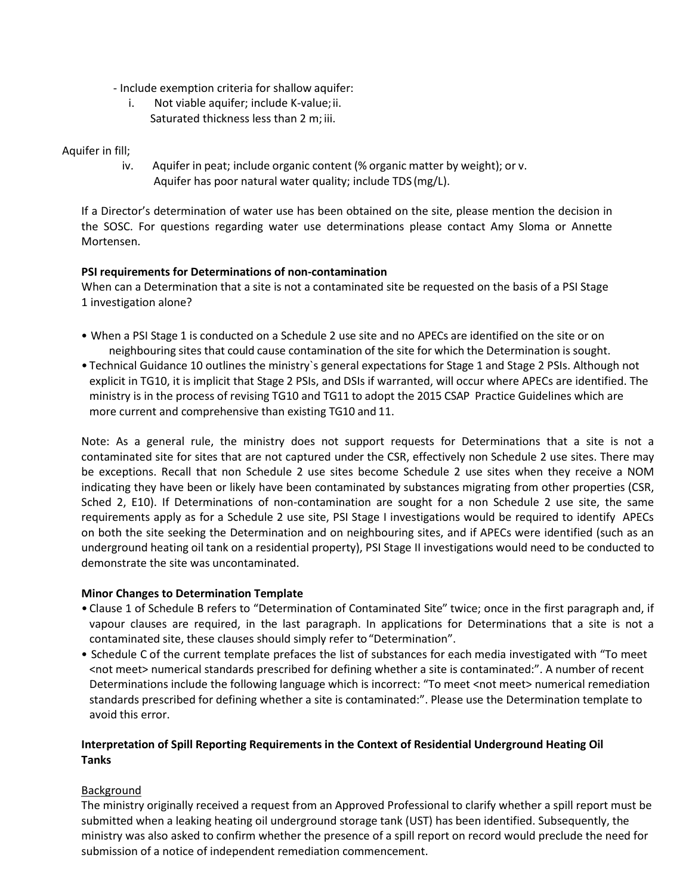- Include exemption criteria for shallow aquifer:
	- i. Not viable aquifer; include K-value;ii. Saturated thickness less than 2 m; iii.

#### Aquifer in fill;

iv. Aquifer in peat; include organic content (% organic matter by weight); or v. Aquifer has poor natural water quality; include TDS (mg/L).

If a Director's determination of water use has been obtained on the site, please mention the decision in the SOSC. For questions regarding water use determinations please contact Amy Sloma or Annette Mortensen.

#### **PSI requirements for Determinations of non-contamination**

When can a Determination that a site is not a contaminated site be requested on the basis of a PSI Stage 1 investigation alone?

- When a PSI Stage 1 is conducted on a Schedule 2 use site and no APECs are identified on the site or on neighbouring sites that could cause contamination of the site for which the Determination is sought.
- Technical Guidance 10 outlines the ministry`s general expectations for Stage 1 and Stage 2 PSIs. Although not explicit in TG10, it is implicit that Stage 2 PSIs, and DSIs if warranted, will occur where APECs are identified. The ministry is in the process of revising TG10 and TG11 to adopt the 2015 CSAP Practice Guidelines which are more current and comprehensive than existing TG10 and 11.

Note: As a general rule, the ministry does not support requests for Determinations that a site is not a contaminated site for sites that are not captured under the CSR, effectively non Schedule 2 use sites. There may be exceptions. Recall that non Schedule 2 use sites become Schedule 2 use sites when they receive a NOM indicating they have been or likely have been contaminated by substances migrating from other properties (CSR, Sched 2, E10). If Determinations of non-contamination are sought for a non Schedule 2 use site, the same requirements apply as for a Schedule 2 use site, PSI Stage I investigations would be required to identify APECs on both the site seeking the Determination and on neighbouring sites, and if APECs were identified (such as an underground heating oil tank on a residential property), PSI Stage II investigations would need to be conducted to demonstrate the site was uncontaminated.

#### **Minor Changes to Determination Template**

- Clause 1 of Schedule B refers to "Determination of Contaminated Site" twice; once in the first paragraph and, if vapour clauses are required, in the last paragraph. In applications for Determinations that a site is not a contaminated site, these clauses should simply refer to "Determination".
- Schedule C of the current template prefaces the list of substances for each media investigated with "To meet <not meet> numerical standards prescribed for defining whether a site is contaminated:". A number of recent Determinations include the following language which is incorrect: "To meet <not meet> numerical remediation standards prescribed for defining whether a site is contaminated:". Please use the Determination template to avoid this error.

### **Interpretation of Spill Reporting Requirements in the Context of Residential Underground Heating Oil Tanks**

#### Background

The ministry originally received a request from an Approved Professional to clarify whether a spill report must be submitted when a leaking heating oil underground storage tank (UST) has been identified. Subsequently, the ministry was also asked to confirm whether the presence of a spill report on record would preclude the need for submission of a notice of independent remediation commencement.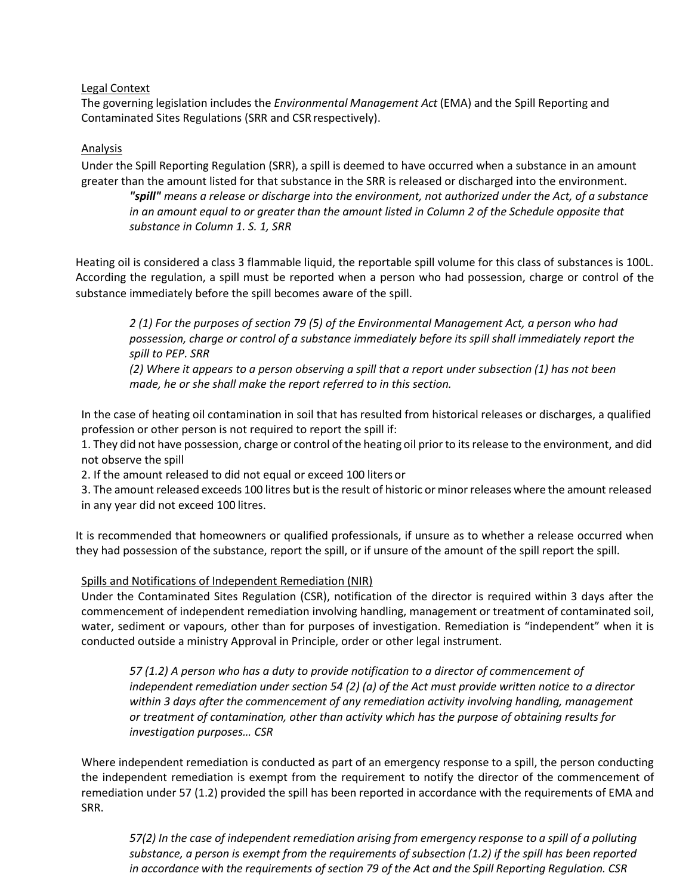Legal Context

The governing legislation includes the *Environmental Management Act* (EMA) and the Spill Reporting and Contaminated Sites Regulations (SRR and CSR respectively).

### **Analysis**

Under the Spill Reporting Regulation (SRR), a spill is deemed to have occurred when a substance in an amount greater than the amount listed for that substance in the SRR is released or discharged into the environment.

*"spill" means a release or discharge into the environment, not authorized under the Act, of a substance*  in an amount equal to or greater than the amount listed in Column 2 of the Schedule opposite that *substance in Column 1. S. 1, SRR*

Heating oil is considered a class 3 flammable liquid, the reportable spill volume for this class of substances is 100L. According the regulation, a spill must be reported when a person who had possession, charge or control of the substance immediately before the spill becomes aware of the spill.

*2 (1) For the purposes of section 79 (5) of the Environmental Management Act, a person who had possession, charge or control of a substance immediately before its spill shall immediately report the spill to PEP. SRR*

*(2) Where it appears to a person observing a spill that a report under subsection (1) has not been made, he or she shall make the report referred to in this section.*

In the case of heating oil contamination in soil that has resulted from historical releases or discharges, a qualified profession or other person is not required to report the spill if:

1. They did not have possession, charge or control ofthe heating oil prior to itsrelease to the environment, and did not observe the spill

2. If the amount released to did not equal or exceed 100 liters or

3. The amount released exceeds 100 litres but is the result of historic or minor releases where the amount released in any year did not exceed 100 litres.

It is recommended that homeowners or qualified professionals, if unsure as to whether a release occurred when they had possession of the substance, report the spill, or if unsure of the amount of the spill report the spill.

### Spills and Notifications of Independent Remediation (NIR)

Under the Contaminated Sites Regulation (CSR), notification of the director is required within 3 days after the commencement of independent remediation involving handling, management or treatment of contaminated soil, water, sediment or vapours, other than for purposes of investigation. Remediation is "independent" when it is conducted outside a ministry Approval in Principle, order or other legal instrument.

*57 (1.2) A person who has a duty to provide notification to a director of commencement of independent remediation under section 54 (2) (a) of the Act must provide written notice to a director within 3 days after the commencement of any remediation activity involving handling, management or treatment of contamination, other than activity which has the purpose of obtaining results for investigation purposes… CSR*

Where independent remediation is conducted as part of an emergency response to a spill, the person conducting the independent remediation is exempt from the requirement to notify the director of the commencement of remediation under 57 (1.2) provided the spill has been reported in accordance with the requirements of EMA and SRR.

*57(2) In the case of independent remediation arising from emergency response to a spill of a polluting substance, a person is exempt from the requirements of subsection (1.2) if the spill has been reported in accordance with the requirements of section 79 of the Act and the Spill Reporting Regulation. CSR*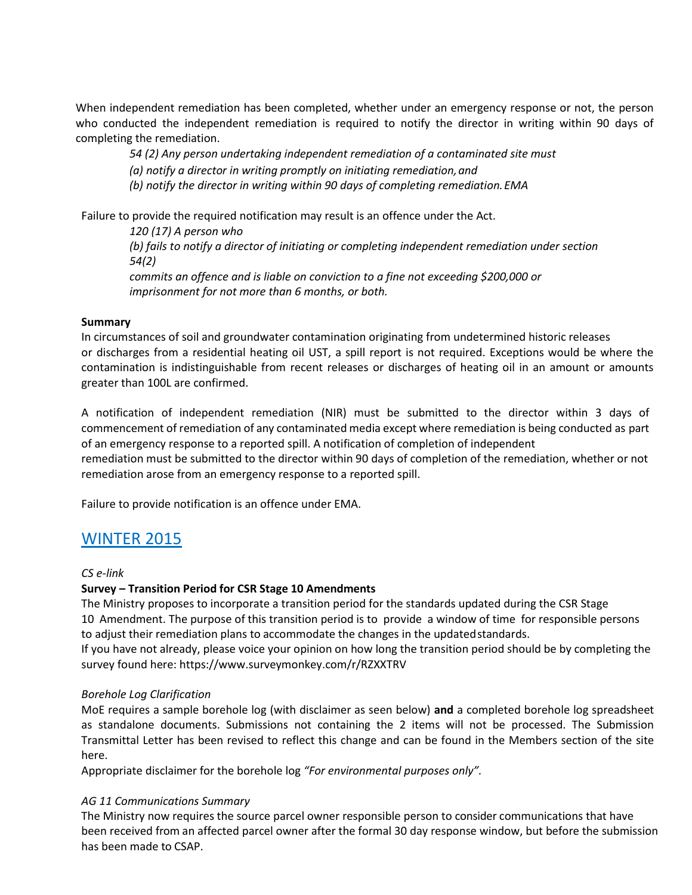When independent remediation has been completed, whether under an emergency response or not, the person who conducted the independent remediation is required to notify the director in writing within 90 days of completing the remediation.

*54 (2) Any person undertaking independent remediation of a contaminated site must*

*(a) notify a director in writing promptly on initiating remediation,and*

*(b) notify the director in writing within 90 days of completing remediation.EMA*

Failure to provide the required notification may result is an offence under the Act.

*120 (17) A person who (b) fails to notify a director of initiating or completing independent remediation under section 54(2)*

*commits an offence and is liable on conviction to a fine not exceeding \$200,000 or imprisonment for not more than 6 months, or both.*

#### **Summary**

In circumstances of soil and groundwater contamination originating from undetermined historic releases or discharges from a residential heating oil UST, a spill report is not required. Exceptions would be where the contamination is indistinguishable from recent releases or discharges of heating oil in an amount or amounts greater than 100L are confirmed.

A notification of independent remediation (NIR) must be submitted to the director within 3 days of commencement of remediation of any contaminated media except where remediation is being conducted as part of an emergency response to a reported spill. A notification of completion of independent

remediation must be submitted to the director within 90 days of completion of the remediation, whether or not remediation arose from an emergency response to a reported spill.

Failure to provide notification is an offence under EMA.

## WINTER 2015

*CS e-link*

#### **Survey – Transition Period for CSR Stage 10 Amendments**

The Ministry proposes to incorporate a transition period for the standards updated during the CSR Stage 10 Amendment. The purpose of this transition period is to provide a window of time for responsible persons to adjust their remediation plans to accommodate the changes in the updated standards.

If you have not already, please voice your opinion on how long the transition period should be by completing the survey found here: https:/[/www.surveymonkey.com/r/RZXXTRV](http://www.surveymonkey.com/r/RZXXTRV)

#### *Borehole Log Clarification*

MoE requires a sample borehole log (with disclaimer as seen below) **and** a completed borehole log spreadsheet as standalone documents. Submissions not containing the 2 items will not be processed. The Submission Transmittal Letter has been revised to reflect this change and can be found in the Members section of the site here.

Appropriate disclaimer for the borehole log *"For environmental purposes only".*

#### *AG 11 Communications Summary*

The Ministry now requires the source parcel owner responsible person to consider communications that have been received from an affected parcel owner after the formal 30 day response window, but before the submission has been made to CSAP.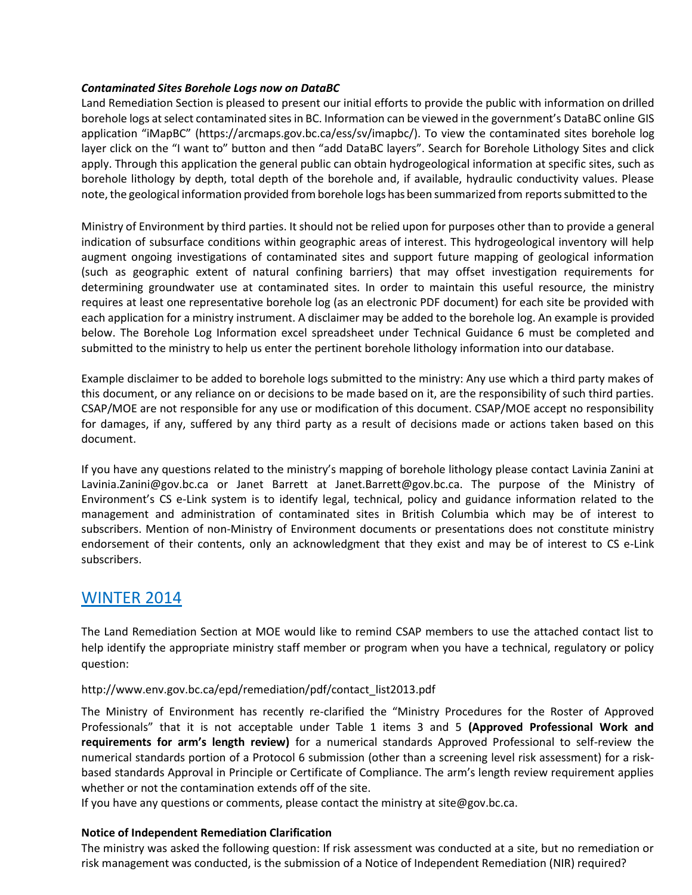#### *Contaminated Sites Borehole Logs now on DataBC*

Land Remediation Section is pleased to present our initial efforts to provide the public with information on drilled borehole logs at select contaminated sites in BC. Information can be viewed in the government's DataBC online GIS application "iMapBC" (https://arcmaps.gov.bc.ca/ess/sv/imapbc/). To view the contaminated sites borehole log layer click on the "I want to" button and then "add DataBC layers". Search for Borehole Lithology Sites and click apply. Through this application the general public can obtain hydrogeological information at specific sites, such as borehole lithology by depth, total depth of the borehole and, if available, hydraulic conductivity values. Please note, the geological information provided from borehole logs has been summarized from reports submitted to the

Ministry of Environment by third parties. It should not be relied upon for purposes other than to provide a general indication of subsurface conditions within geographic areas of interest. This hydrogeological inventory will help augment ongoing investigations of contaminated sites and support future mapping of geological information (such as geographic extent of natural confining barriers) that may offset investigation requirements for determining groundwater use at contaminated sites. In order to maintain this useful resource, the ministry requires at least one representative borehole log (as an electronic PDF document) for each site be provided with each application for a ministry instrument. A disclaimer may be added to the borehole log. An example is provided below. The Borehole Log Information excel spreadsheet under Technical Guidance 6 must be completed and submitted to the ministry to help us enter the pertinent borehole lithology information into our database.

Example disclaimer to be added to borehole logs submitted to the ministry: Any use which a third party makes of this document, or any reliance on or decisions to be made based on it, are the responsibility of such third parties. CSAP/MOE are not responsible for any use or modification of this document. CSAP/MOE accept no responsibility for damages, if any, suffered by any third party as a result of decisions made or actions taken based on this document.

If you have any questions related to the ministry's mapping of borehole lithology please contact Lavinia Zanini at [Lavinia.Zanini@gov.bc.ca](mailto:Lavinia.Zanini@gov.bc.ca) or Janet Barrett [at Janet.Barrett@gov.bc.ca](mailto:Janet.Barrett@gov.bc.ca). The purpose of the Ministry of Environment's CS e-Link system is to identify legal, technical, policy and guidance information related to the management and administration of contaminated sites in British Columbia which may be of interest to subscribers. Mention of non-Ministry of Environment documents or presentations does not constitute ministry endorsement of their contents, only an acknowledgment that they exist and may be of interest to CS e-Link subscribers.

## WINTER 2014

The Land Remediation Section at MOE would like to remind CSAP members to use the attached contact list to help identify the appropriate ministry staff member or program when you have a technical, regulatory or policy question:

#### [http://www.env.gov.bc.ca/epd/remediation/pdf/contact\\_list2013.pdf](http://www.env.gov.bc.ca/epd/remediation/pdf/contact_list2013.pdf)

The Ministry of Environment has recently re-clarified the "Ministry Procedures for the Roster of Approved Professionals" that it is not acceptable under Table 1 items 3 and 5 **(Approved Professional Work and requirements for arm's length review)** for a numerical standards Approved Professional to self-review the numerical standards portion of a Protocol 6 submission (other than a screening level risk assessment) for a riskbased standards Approval in Principle or Certificate of Compliance. The arm's length review requirement applies whether or not the contamination extends off of the site.

If you have any questions or comments, please contact the ministry at  $\sin \theta$  gov.bc.ca.

#### **Notice of Independent Remediation Clarification**

The ministry was asked the following question: If risk assessment was conducted at a site, but no remediation or risk management was conducted, is the submission of a Notice of Independent Remediation (NIR) required?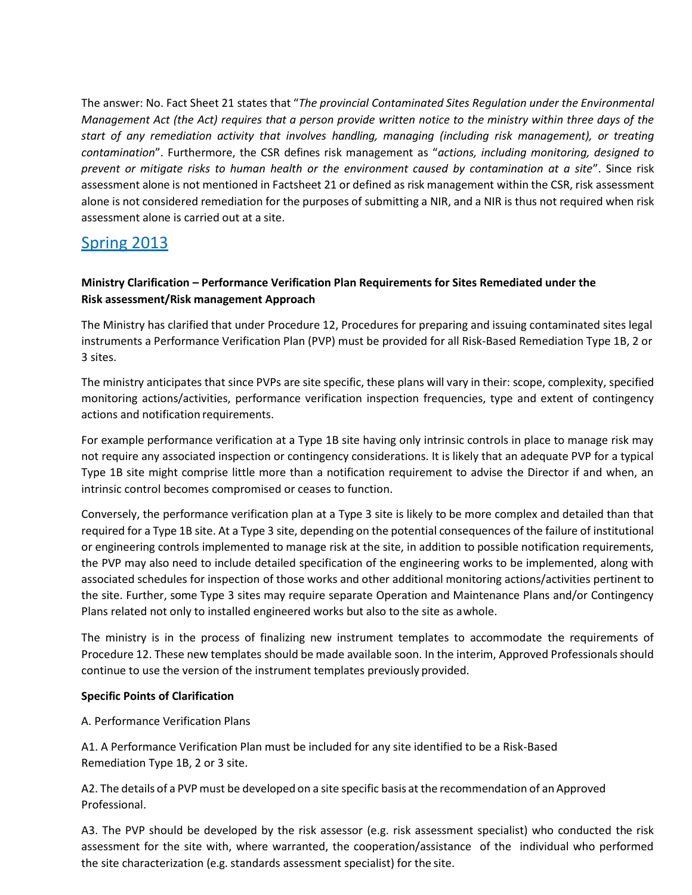The answer: No. Fact Sheet 21 states that "*The provincial Contaminated Sites Regulation under the Environmental Management Act (the Act) requires that a person provide written notice to the ministry within three days of the start of any remediation activity that involves handling, managing (including risk management), or treating contamination*". Furthermore, the CSR defines risk management as "*actions, including monitoring, designed to prevent or mitigate risks to human health or the environment caused by contamination at a site*". Since risk assessment alone is not mentioned in Factsheet 21 or defined as risk management within the CSR, risk assessment alone is not considered remediation for the purposes of submitting a NIR, and a NIR is thus not required when risk assessment alone is carried out at a site.

# Spring 2013

### **Ministry Clarification – Performance Verification Plan Requirements for Sites Remediated under the Risk assessment/Risk management Approach**

The Ministry has clarified that under Procedure 12, Procedures for preparing and issuing contaminated sites legal instruments a Performance Verification Plan (PVP) must be provided for all Risk-Based Remediation Type 1B, 2 or 3 sites.

The ministry anticipates that since PVPs are site specific, these plans will vary in their: scope, complexity, specified monitoring actions/activities, performance verification inspection frequencies, type and extent of contingency actions and notification requirements.

For example performance verification at a Type 1B site having only intrinsic controls in place to manage risk may not require any associated inspection or contingency considerations. It is likely that an adequate PVP for a typical Type 1B site might comprise little more than a notification requirement to advise the Director if and when, an intrinsic control becomes compromised or ceases to function.

Conversely, the performance verification plan at a Type 3 site is likely to be more complex and detailed than that required for a Type 1B site. At a Type 3 site, depending on the potential consequences of the failure of institutional or engineering controls implemented to manage risk at the site, in addition to possible notification requirements, the PVP may also need to include detailed specification of the engineering works to be implemented, along with associated schedules for inspection of those works and other additional monitoring actions/activities pertinent to the site. Further, some Type 3 sites may require separate Operation and Maintenance Plans and/or Contingency Plans related not only to installed engineered works but also to the site as awhole.

The ministry is in the process of finalizing new instrument templates to accommodate the requirements of Procedure 12. These new templates should be made available soon. In the interim, Approved Professionals should continue to use the version of the instrument templates previously provided.

### **Specific Points of Clarification**

A. Performance Verification Plans

A1. A Performance Verification Plan must be included for any site identified to be a Risk-Based Remediation Type 1B, 2 or 3 site.

A2. The details of a PVP must be developed on a site specific basis at the recommendation of an Approved Professional.

A3. The PVP should be developed by the risk assessor (e.g. risk assessment specialist) who conducted the risk assessment for the site with, where warranted, the cooperation/assistance of the individual who performed the site characterization (e.g. standards assessment specialist) for the site.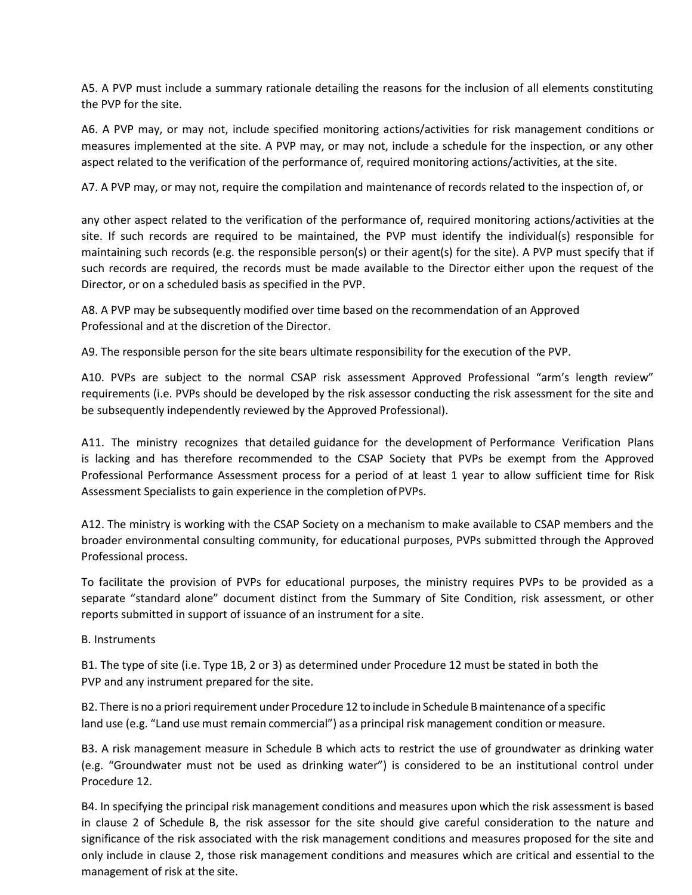A5. A PVP must include a summary rationale detailing the reasons for the inclusion of all elements constituting the PVP for the site.

A6. A PVP may, or may not, include specified monitoring actions/activities for risk management conditions or measures implemented at the site. A PVP may, or may not, include a schedule for the inspection, or any other aspect related to the verification of the performance of, required monitoring actions/activities, at the site.

A7. A PVP may, or may not, require the compilation and maintenance of records related to the inspection of, or

any other aspect related to the verification of the performance of, required monitoring actions/activities at the site. If such records are required to be maintained, the PVP must identify the individual(s) responsible for maintaining such records (e.g. the responsible person(s) or their agent(s) for the site). A PVP must specify that if such records are required, the records must be made available to the Director either upon the request of the Director, or on a scheduled basis as specified in the PVP.

A8. A PVP may be subsequently modified over time based on the recommendation of an Approved Professional and at the discretion of the Director.

A9. The responsible person for the site bears ultimate responsibility for the execution of the PVP.

A10. PVPs are subject to the normal CSAP risk assessment Approved Professional "arm's length review" requirements (i.e. PVPs should be developed by the risk assessor conducting the risk assessment for the site and be subsequently independently reviewed by the Approved Professional).

A11. The ministry recognizes that detailed guidance for the development of Performance Verification Plans is lacking and has therefore recommended to the CSAP Society that PVPs be exempt from the Approved Professional Performance Assessment process for a period of at least 1 year to allow sufficient time for Risk Assessment Specialists to gain experience in the completion ofPVPs.

A12. The ministry is working with the CSAP Society on a mechanism to make available to CSAP members and the broader environmental consulting community, for educational purposes, PVPs submitted through the Approved Professional process.

To facilitate the provision of PVPs for educational purposes, the ministry requires PVPs to be provided as a separate "standard alone" document distinct from the Summary of Site Condition, risk assessment, or other reports submitted in support of issuance of an instrument for a site.

B. Instruments

B1. The type of site (i.e. Type 1B, 2 or 3) as determined under Procedure 12 must be stated in both the PVP and any instrument prepared for the site.

B2. There is no a priorirequirement under Procedure 12 to include in Schedule Bmaintenance of a specific land use (e.g. "Land use must remain commercial") as a principal risk management condition or measure.

B3. A risk management measure in Schedule B which acts to restrict the use of groundwater as drinking water (e.g. "Groundwater must not be used as drinking water") is considered to be an institutional control under Procedure 12.

B4. In specifying the principal risk management conditions and measures upon which the risk assessment is based in clause 2 of Schedule B, the risk assessor for the site should give careful consideration to the nature and significance of the risk associated with the risk management conditions and measures proposed for the site and only include in clause 2, those risk management conditions and measures which are critical and essential to the management of risk at the site.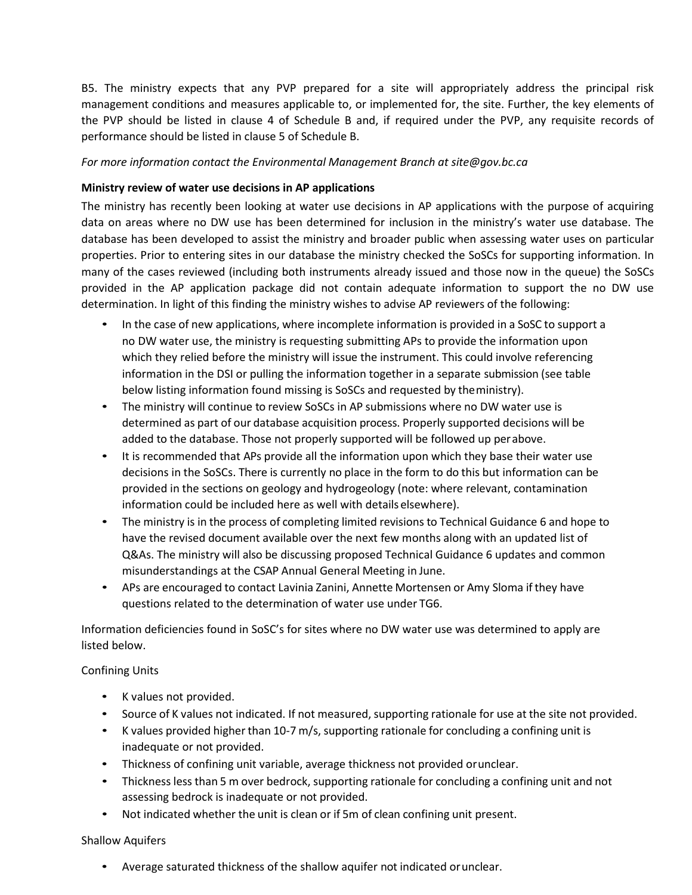B5. The ministry expects that any PVP prepared for a site will appropriately address the principal risk management conditions and measures applicable to, or implemented for, the site. Further, the key elements of the PVP should be listed in clause 4 of Schedule B and, if required under the PVP, any requisite records of performance should be listed in clause 5 of Schedule B.

### *For more information contact the Environmental Management Branch a[t site@gov.bc.ca](mailto:site@gov.bc.ca)*

### **Ministry review of water use decisions in AP applications**

The ministry has recently been looking at water use decisions in AP applications with the purpose of acquiring data on areas where no DW use has been determined for inclusion in the ministry's water use database. The database has been developed to assist the ministry and broader public when assessing water uses on particular properties. Prior to entering sites in our database the ministry checked the SoSCs for supporting information. In many of the cases reviewed (including both instruments already issued and those now in the queue) the SoSCs provided in the AP application package did not contain adequate information to support the no DW use determination. In light of this finding the ministry wishes to advise AP reviewers of the following:

- In the case of new applications, where incomplete information is provided in a SoSC to support a no DW water use, the ministry is requesting submitting APs to provide the information upon which they relied before the ministry will issue the instrument. This could involve referencing information in the DSI or pulling the information together in a separate submission (see table below listing information found missing is SoSCs and requested by theministry).
- The ministry will continue to review SoSCs in AP submissions where no DW water use is determined as part of our database acquisition process. Properly supported decisions will be added to the database. Those not properly supported will be followed up perabove.
- It is recommended that APs provide all the information upon which they base their water use decisions in the SoSCs. There is currently no place in the form to do this but information can be provided in the sections on geology and hydrogeology (note: where relevant, contamination information could be included here as well with details elsewhere).
- The ministry is in the process of completing limited revisions to Technical Guidance 6 and hope to have the revised document available over the next few months along with an updated list of Q&As. The ministry will also be discussing proposed Technical Guidance 6 updates and common misunderstandings at the CSAP Annual General Meeting in June.
- APs are encouraged to contact Lavinia Zanini, Annette Mortensen or Amy Sloma if they have questions related to the determination of water use under TG6.

Information deficiencies found in SoSC's for sites where no DW water use was determined to apply are listed below.

#### Confining Units

- K values not provided.
- Source of K values not indicated. If not measured, supporting rationale for use at the site not provided.
- K values provided higher than 10-7 m/s, supporting rationale for concluding a confining unit is inadequate or not provided.
- Thickness of confining unit variable, average thickness not provided orunclear.
- Thickness less than 5 m over bedrock, supporting rationale for concluding a confining unit and not assessing bedrock is inadequate or not provided.
- Not indicated whether the unit is clean or if 5m of clean confining unit present.

#### Shallow Aquifers

• Average saturated thickness of the shallow aquifer not indicated orunclear.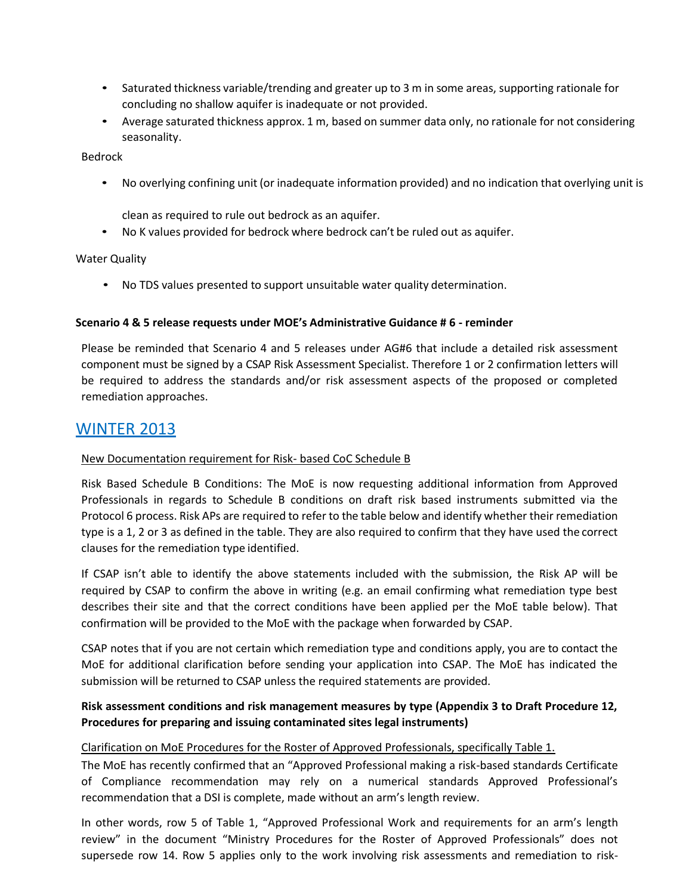- Saturated thickness variable/trending and greater up to 3 m in some areas, supporting rationale for concluding no shallow aquifer is inadequate or not provided.
- Average saturated thickness approx. 1 m, based on summer data only, no rationale for not considering seasonality.

Bedrock

• No overlying confining unit (or inadequate information provided) and no indication that overlying unit is

clean as required to rule out bedrock as an aquifer.

• No K values provided for bedrock where bedrock can't be ruled out as aquifer.

#### Water Quality

• No TDS values presented to support unsuitable water quality determination.

#### **Scenario 4 & 5 release requests under MOE's Administrative Guidance # 6 - reminder**

Please be reminded that Scenario 4 and 5 releases under AG#6 that include a detailed risk assessment component must be signed by a CSAP Risk Assessment Specialist. Therefore 1 or 2 confirmation letters will be required to address the standards and/or risk assessment aspects of the proposed or completed remediation approaches.

### WINTER 2013

#### New Documentation requirement for Risk- based CoC Schedule B

Risk Based Schedule B Conditions: The MoE is now requesting additional information from Approved Professionals in regards to Schedule B conditions on draft risk based instruments submitted via the Protocol 6 process. Risk APs are required to refer to the table below and identify whether their remediation type is a 1, 2 or 3 as defined in the table. They are also required to confirm that they have used the correct clauses for the remediation type identified.

If CSAP isn't able to identify the above statements included with the submission, the Risk AP will be required by CSAP to confirm the above in writing (e.g. an email confirming what remediation type best describes their site and that the correct conditions have been applied per the MoE table below). That confirmation will be provided to the MoE with the package when forwarded by CSAP.

CSAP notes that if you are not certain which remediation type and conditions apply, you are to contact the MoE for additional clarification before sending your application into CSAP. The MoE has indicated the submission will be returned to CSAP unless the required statements are provided.

### **Risk assessment conditions and risk management measures by type (Appendix 3 to Draft Procedure 12, Procedures for preparing and issuing contaminated sites legal instruments)**

#### Clarification on MoE Procedures for the Roster of Approved Professionals, specifically Table 1.

The MoE has recently confirmed that an "Approved Professional making a risk-based standards Certificate of Compliance recommendation may rely on a numerical standards Approved Professional's recommendation that a DSI is complete, made without an arm's length review.

In other words, row 5 of Table 1, "Approved Professional Work and requirements for an arm's length review" in the document "Ministry Procedures for the Roster of Approved Professionals" does not supersede row 14. Row 5 applies only to the work involving risk assessments and remediation to risk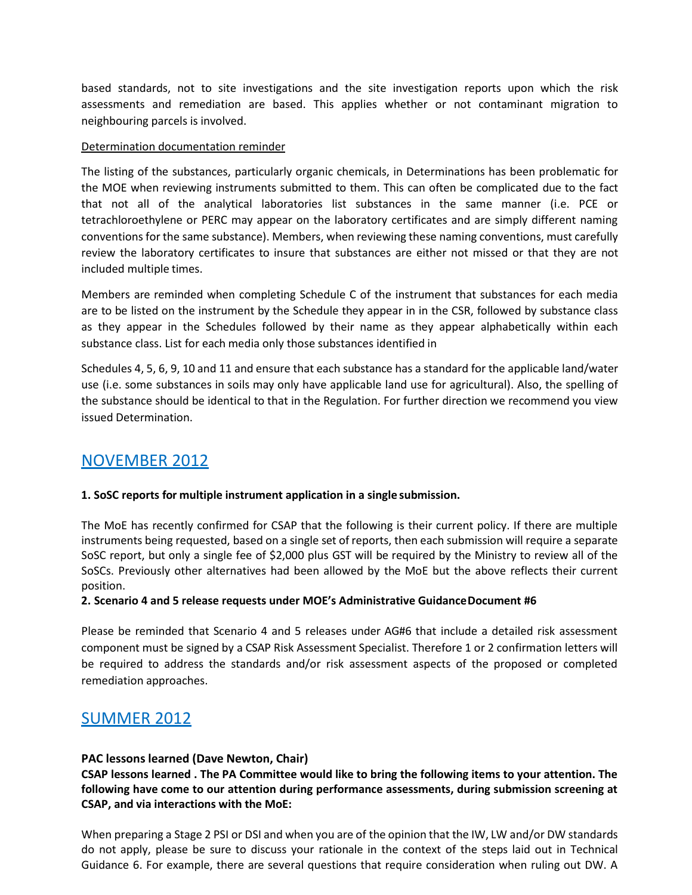based standards, not to site investigations and the site investigation reports upon which the risk assessments and remediation are based. This applies whether or not contaminant migration to neighbouring parcels is involved.

### Determination documentation reminder

The listing of the substances, particularly organic chemicals, in Determinations has been problematic for the MOE when reviewing instruments submitted to them. This can often be complicated due to the fact that not all of the analytical laboratories list substances in the same manner (i.e. PCE or tetrachloroethylene or PERC may appear on the laboratory certificates and are simply different naming conventions for the same substance). Members, when reviewing these naming conventions, must carefully review the laboratory certificates to insure that substances are either not missed or that they are not included multiple times.

Members are reminded when completing Schedule C of the instrument that substances for each media are to be listed on the instrument by the Schedule they appear in in the CSR, followed by substance class as they appear in the Schedules followed by their name as they appear alphabetically within each substance class. List for each media only those substances identified in

Schedules 4, 5, 6, 9, 10 and 11 and ensure that each substance has a standard for the applicable land/water use (i.e. some substances in soils may only have applicable land use for agricultural). Also, the spelling of the substance should be identical to that in the Regulation. For further direction we recommend you view issued Determination.

## NOVEMBER 2012

### **1. SoSC reports for multiple instrument application in a single submission.**

The MoE has recently confirmed for CSAP that the following is their current policy. If there are multiple instruments being requested, based on a single set of reports, then each submission will require a separate SoSC report, but only a single fee of \$2,000 plus GST will be required by the Ministry to review all of the SoSCs. Previously other alternatives had been allowed by the MoE but the above reflects their current position.

#### **2. Scenario 4 and 5 release requests under MOE's Administrative GuidanceDocument #6**

Please be reminded that Scenario 4 and 5 releases under AG#6 that include a detailed risk assessment component must be signed by a CSAP Risk Assessment Specialist. Therefore 1 or 2 confirmation letters will be required to address the standards and/or risk assessment aspects of the proposed or completed remediation approaches.

## SUMMER 2012

### **PAC lessons learned (Dave Newton, Chair)**

**CSAP lessons learned . The PA Committee would like to bring the following items to your attention. The following have come to our attention during performance assessments, during submission screening at CSAP, and via interactions with the MoE:**

When preparing a Stage 2 PSI or DSI and when you are of the opinion that the IW, LW and/or DW standards do not apply, please be sure to discuss your rationale in the context of the steps laid out in Technical Guidance 6. For example, there are several questions that require consideration when ruling out DW. A